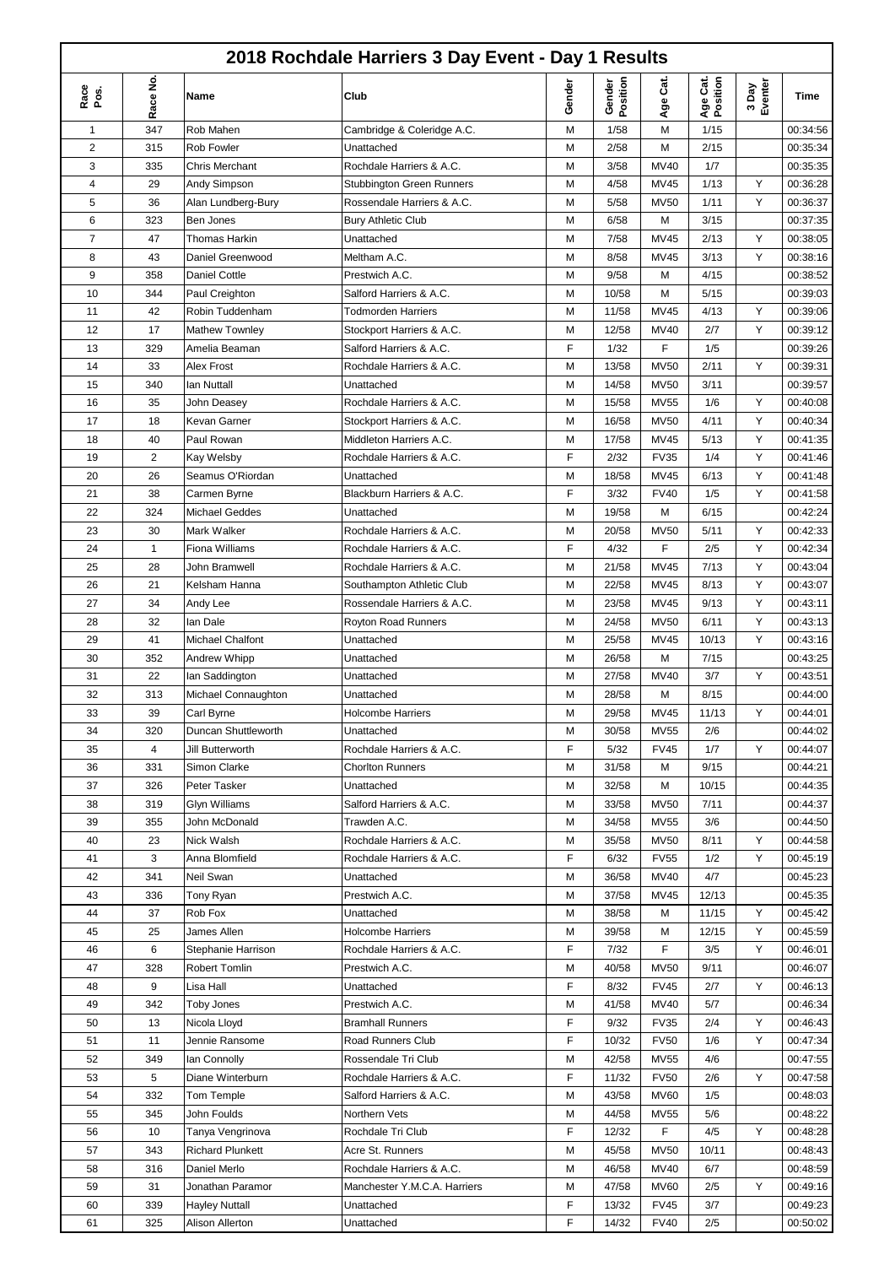|              |                |                                         | 2018 Rochdale Harriers 3 Day Event - Day 1 Results  |        |                    |                  |                      |                  |                      |
|--------------|----------------|-----------------------------------------|-----------------------------------------------------|--------|--------------------|------------------|----------------------|------------------|----------------------|
| Race<br>Pos. | Race No.       | Name                                    | Club                                                | Gender | Gender<br>Position | Age Cat.         | Age Cat.<br>Position | 3 Day<br>Eventer | Time                 |
| 1            | 347            | Rob Mahen                               | Cambridge & Coleridge A.C.                          | M      | 1/58               | M                | 1/15                 |                  | 00:34:56             |
| 2            | 315            | <b>Rob Fowler</b>                       | Unattached                                          | M      | 2/58               | M                | 2/15                 |                  | 00:35:34             |
| 3            | 335            | <b>Chris Merchant</b>                   | Rochdale Harriers & A.C.                            | M      | 3/58               | MV40             | 1/7                  |                  | 00:35:35             |
| 4            | 29             | Andy Simpson                            | <b>Stubbington Green Runners</b>                    | М      | 4/58               | <b>MV45</b>      | 1/13                 | Υ                | 00:36:28             |
| 5            | 36             | Alan Lundberg-Bury                      | Rossendale Harriers & A.C.                          | M      | 5/58               | <b>MV50</b>      | 1/11                 | Y                | 00:36:37             |
| 6            | 323            | Ben Jones                               | <b>Bury Athletic Club</b>                           | M      | 6/58               | M                | 3/15                 |                  | 00:37:35             |
| 7            | 47             | <b>Thomas Harkin</b>                    | Unattached                                          | M      | 7/58               | <b>MV45</b>      | 2/13                 | Y                | 00:38:05             |
| 8            | 43             | Daniel Greenwood                        | Meltham A.C.                                        | M      | 8/58               | <b>MV45</b>      | 3/13                 | Y                | 00:38:16             |
| 9            | 358            | Daniel Cottle                           | Prestwich A.C.                                      | M      | 9/58               | M                | 4/15                 |                  | 00:38:52             |
| 10           | 344            | Paul Creighton                          | Salford Harriers & A.C.                             | М      | 10/58              | M                | 5/15                 |                  | 00:39:03             |
| 11           | 42             | Robin Tuddenham                         | <b>Todmorden Harriers</b>                           | М      | 11/58              | <b>MV45</b>      | 4/13                 | Y                | 00:39:06             |
| 12           | 17             | Mathew Townley                          | Stockport Harriers & A.C.                           | М      | 12/58              | MV40             | 2/7                  | Y                | 00:39:12             |
| 13           | 329            | Amelia Beaman                           | Salford Harriers & A.C.                             | F      | 1/32               | F                | 1/5                  |                  | 00:39:26             |
| 14           | 33             | Alex Frost                              | Rochdale Harriers & A.C.                            | M      | 13/58              | <b>MV50</b>      | 2/11                 | Y                | 00:39:31             |
| 15           | 340            | lan Nuttall                             | Unattached                                          | M      | 14/58              | MV50             | 3/11                 |                  | 00:39:57             |
| 16           | 35             | John Deasey                             | Rochdale Harriers & A.C.                            | M      | 15/58              | <b>MV55</b>      | 1/6                  | Υ                | 00:40:08             |
| 17           | 18             | Kevan Garner                            | Stockport Harriers & A.C.                           | M      | 16/58              | MV50             | 4/11                 | Y                | 00:40:34             |
| 18           | 40             | Paul Rowan                              | Middleton Harriers A.C.                             | M      | 17/58              | MV45             | 5/13                 | Y                | 00:41:35             |
| 19           | $\overline{2}$ | Kay Welsby                              | Rochdale Harriers & A.C.                            | F      | 2/32               | <b>FV35</b>      | 1/4                  | Y                | 00:41:46             |
| 20           | 26             | Seamus O'Riordan                        | Unattached                                          | M      | 18/58              | MV45             | 6/13                 | Y                | 00:41:48             |
| 21           | 38             | Carmen Byrne                            | Blackburn Harriers & A.C.                           | F      | 3/32               | <b>FV40</b>      | 1/5                  | Y                | 00:41:58             |
| 22           | 324            | <b>Michael Geddes</b>                   | Unattached                                          | M      | 19/58              | M                | 6/15                 |                  | 00:42:24             |
| 23           | 30             | Mark Walker                             | Rochdale Harriers & A.C.                            | M      | 20/58              | <b>MV50</b>      | 5/11                 | Υ                | 00:42:33             |
| 24           | 1              | Fiona Williams                          | Rochdale Harriers & A.C.                            | F      | 4/32               | F                | 2/5                  | Υ                | 00:42:34             |
| 25           | 28             | John Bramwell                           | Rochdale Harriers & A.C.                            | M      | 21/58              | MV45             | 7/13                 | Υ                | 00:43:04             |
| 26           | 21             | Kelsham Hanna                           | Southampton Athletic Club                           | M      | 22/58              | MV45             | 8/13                 | Υ                | 00:43:07             |
| 27           | 34             | Andy Lee                                | Rossendale Harriers & A.C.                          | M      | 23/58              | MV45             | 9/13                 | Υ                | 00:43:11             |
| 28           | 32             | lan Dale                                | Royton Road Runners                                 | M      | 24/58              | <b>MV50</b>      | 6/11                 | Υ                | 00:43:13             |
| 29           | 41             | Michael Chalfont                        | Unattached                                          | М      | 25/58              | MV45             | 10/13                | Υ                | 00:43:16             |
| 30           | 352            | Andrew Whipp                            | Unattached                                          | M      | 26/58              | M                | 7/15                 |                  | 00:43:25             |
| 31           | 22             | lan Saddington                          | Unattached                                          | M      | 27/58              | MV40             | 3/7                  | Y                | 00:43:51             |
| 32           | 313            | Michael Connaughton                     | Unattached                                          | M      | 28/58              | M                | 8/15                 |                  | 00:44:00             |
| 33           | 39             | Carl Byrne                              | Holcombe Harriers                                   | M      | 29/58              | MV45             | 11/13                | Y                | 00:44:01             |
| 34           | 320            | Duncan Shuttleworth<br>Jill Butterworth | Unattached                                          | м<br>F | 30/58              | MV55             | 2/6                  |                  | 00:44:02             |
| 35           | 4              | Simon Clarke                            | Rochdale Harriers & A.C.<br><b>Chorlton Runners</b> | М      | 5/32               | <b>FV45</b>      | 1/7<br>9/15          | Y                | 00:44:07<br>00:44:21 |
| 36<br>37     | 331            | Peter Tasker                            | Unattached                                          | М      | 31/58<br>32/58     | M                | 10/15                |                  | 00:44:35             |
| 38           | 326<br>319     | Glyn Williams                           | Salford Harriers & A.C.                             | М      | 33/58              | M<br><b>MV50</b> | 7/11                 |                  | 00:44:37             |
| 39           | 355            | John McDonald                           | Trawden A.C.                                        | М      | 34/58              | MV55             | 3/6                  |                  | 00:44:50             |
| 40           | 23             | Nick Walsh                              | Rochdale Harriers & A.C.                            | M      | 35/58              | <b>MV50</b>      | 8/11                 | Υ                | 00:44:58             |
| 41           | 3              | Anna Blomfield                          | Rochdale Harriers & A.C.                            | F      | 6/32               | <b>FV55</b>      | 1/2                  | Υ                | 00:45:19             |
| 42           | 341            | Neil Swan                               | Unattached                                          | M      | 36/58              | MV40             | 4/7                  |                  | 00:45:23             |
| 43           | 336            | Tony Ryan                               | Prestwich A.C.                                      | М      | 37/58              | MV45             | 12/13                |                  | 00:45:35             |
| 44           | 37             | Rob Fox                                 | Unattached                                          | М      | 38/58              | M                | 11/15                | Υ                | 00:45:42             |
| 45           | 25             | James Allen                             | Holcombe Harriers                                   | М      | 39/58              | M                | 12/15                | Υ                | 00:45:59             |
| 46           | 6              | Stephanie Harrison                      | Rochdale Harriers & A.C.                            | F      | 7/32               | F                | 3/5                  | Υ                | 00:46:01             |
| 47           | 328            | Robert Tomlin                           | Prestwich A.C.                                      | М      | 40/58              | <b>MV50</b>      | 9/11                 |                  | 00:46:07             |
| 48           | 9              | Lisa Hall                               | Unattached                                          | F      | 8/32               | <b>FV45</b>      | 2/7                  | Y                | 00:46:13             |
| 49           | 342            | <b>Toby Jones</b>                       | Prestwich A.C.                                      | M      | 41/58              | MV40             | 5/7                  |                  | 00:46:34             |
| 50           | 13             | Nicola Lloyd                            | <b>Bramhall Runners</b>                             | F      | 9/32               | <b>FV35</b>      | 2/4                  | Υ                | 00:46:43             |
| 51           | 11             | Jennie Ransome                          | Road Runners Club                                   | F      | 10/32              | <b>FV50</b>      | 1/6                  | Υ                | 00:47:34             |
| 52           | 349            | lan Connolly                            | Rossendale Tri Club                                 | М      | 42/58              | MV55             | 4/6                  |                  | 00:47:55             |
| 53           | 5              | Diane Winterburn                        | Rochdale Harriers & A.C.                            | F      | 11/32              | <b>FV50</b>      | 2/6                  | Υ                | 00:47:58             |
| 54           | 332            | Tom Temple                              | Salford Harriers & A.C.                             | М      | 43/58              | <b>MV60</b>      | 1/5                  |                  | 00:48:03             |
| 55           | 345            | John Foulds                             | Northern Vets                                       | М      | 44/58              | <b>MV55</b>      | 5/6                  |                  | 00:48:22             |
| 56           | 10             | Tanya Vengrinova                        | Rochdale Tri Club                                   | F      | 12/32              | F                | 4/5                  | Υ                | 00:48:28             |
| 57           | 343            | <b>Richard Plunkett</b>                 | Acre St. Runners                                    | М      | 45/58              | <b>MV50</b>      | 10/11                |                  | 00:48:43             |
| 58           | 316            | Daniel Merlo                            | Rochdale Harriers & A.C.                            | М      | 46/58              | MV40             | 6/7                  |                  | 00:48:59             |
| 59           | 31             | Jonathan Paramor                        | Manchester Y.M.C.A. Harriers                        | М      | 47/58              | <b>MV60</b>      | 2/5                  | Υ                | 00:49:16             |
| 60           | 339            | <b>Hayley Nuttall</b>                   | Unattached                                          | F      | 13/32              | <b>FV45</b>      | 3/7                  |                  | 00:49:23             |
| 61           | 325            | Alison Allerton                         | Unattached                                          | F      | 14/32              | <b>FV40</b>      | 2/5                  |                  | 00:50:02             |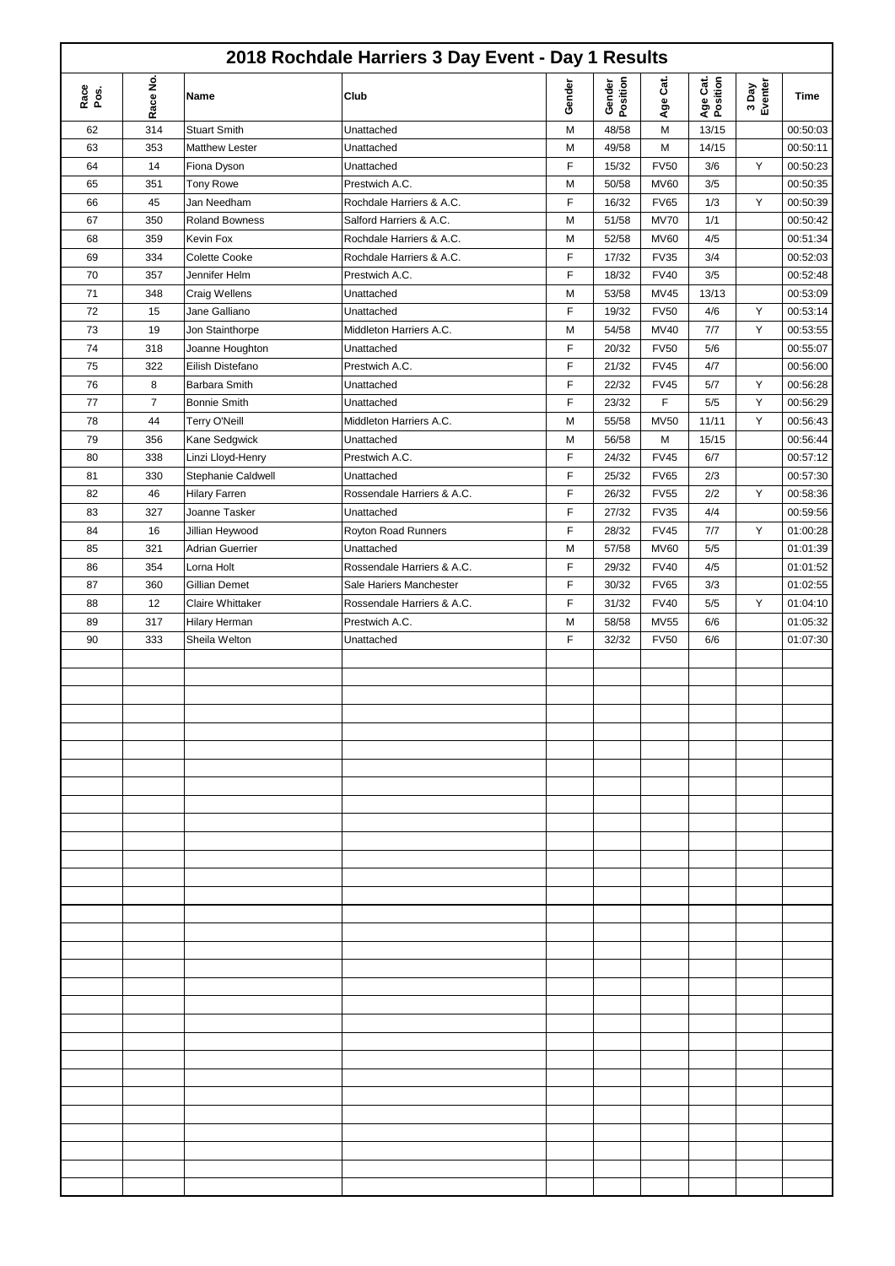| 2018 Rochdale Harriers 3 Day Event - Day 1 Results |          |                        |                            |        |                    |               |                      |                  |          |  |
|----------------------------------------------------|----------|------------------------|----------------------------|--------|--------------------|---------------|----------------------|------------------|----------|--|
| Race<br>Pos.                                       | Race No. | Name                   | Club                       | Gender | Gender<br>Position | Cat.<br>Age i | Age Cat.<br>Position | 3 Day<br>Eventer | Time     |  |
| 62                                                 | 314      | <b>Stuart Smith</b>    | Unattached                 | М      | 48/58              | M             | 13/15                |                  | 00:50:03 |  |
| 63                                                 | 353      | <b>Matthew Lester</b>  | Unattached                 | М      | 49/58              | M             | 14/15                |                  | 00:50:11 |  |
| 64                                                 | 14       | Fiona Dyson            | Unattached                 | F      | 15/32              | <b>FV50</b>   | 3/6                  | Υ                | 00:50:23 |  |
| 65                                                 | 351      | <b>Tony Rowe</b>       | Prestwich A.C.             | M      | 50/58              | <b>MV60</b>   | 3/5                  |                  | 00:50:35 |  |
| 66                                                 | 45       | Jan Needham            | Rochdale Harriers & A.C.   | F      | 16/32              | <b>FV65</b>   | 1/3                  | Υ                | 00:50:39 |  |
| 67                                                 | 350      | <b>Roland Bowness</b>  | Salford Harriers & A.C.    | M      | 51/58              | <b>MV70</b>   | 1/1                  |                  | 00:50:42 |  |
| 68                                                 | 359      | Kevin Fox              | Rochdale Harriers & A.C.   | М      | 52/58              | <b>MV60</b>   | 4/5                  |                  | 00:51:34 |  |
| 69                                                 | 334      | <b>Colette Cooke</b>   | Rochdale Harriers & A.C.   | F      | 17/32              | <b>FV35</b>   | 3/4                  |                  | 00:52:03 |  |
| 70                                                 | 357      | Jennifer Helm          | Prestwich A.C.             | F      | 18/32              | <b>FV40</b>   | 3/5                  |                  | 00:52:48 |  |
| 71                                                 | 348      | <b>Craig Wellens</b>   | Unattached                 | M      | 53/58              | MV45          | 13/13                |                  | 00:53:09 |  |
| 72                                                 | 15       | Jane Galliano          | Unattached                 | F      | 19/32              | <b>FV50</b>   | 4/6                  | Υ                | 00:53:14 |  |
| 73                                                 | 19       | Jon Stainthorpe        | Middleton Harriers A.C.    | M      | 54/58              | MV40          | 7/7                  | Υ                | 00:53:55 |  |
|                                                    |          |                        |                            |        |                    |               |                      |                  |          |  |
| 74                                                 | 318      | Joanne Houghton        | Unattached                 | F      | 20/32              | <b>FV50</b>   | 5/6                  |                  | 00:55:07 |  |
| 75                                                 | 322      | Eilish Distefano       | Prestwich A.C.             | F      | 21/32              | <b>FV45</b>   | 4/7                  |                  | 00:56:00 |  |
| 76                                                 | 8        | Barbara Smith          | Unattached                 | F      | 22/32              | <b>FV45</b>   | 5/7                  | Υ                | 00:56:28 |  |
| 77                                                 | 7        | <b>Bonnie Smith</b>    | Unattached                 | F      | 23/32              | F             | 5/5                  | Υ                | 00:56:29 |  |
| 78                                                 | 44       | Terry O'Neill          | Middleton Harriers A.C.    | M      | 55/58              | <b>MV50</b>   | 11/11                | Y                | 00:56:43 |  |
| 79                                                 | 356      | Kane Sedgwick          | Unattached                 | М      | 56/58              | M             | 15/15                |                  | 00:56:44 |  |
| 80                                                 | 338      | Linzi Lloyd-Henry      | Prestwich A.C.             | F      | 24/32              | <b>FV45</b>   | 6/7                  |                  | 00:57:12 |  |
| 81                                                 | 330      | Stephanie Caldwell     | Unattached                 | F      | 25/32              | <b>FV65</b>   | 2/3                  |                  | 00:57:30 |  |
| 82                                                 | 46       | <b>Hilary Farren</b>   | Rossendale Harriers & A.C. | F      | 26/32              | <b>FV55</b>   | 2/2                  | Υ                | 00:58:36 |  |
| 83                                                 | 327      | Joanne Tasker          | Unattached                 | F      | 27/32              | <b>FV35</b>   | 4/4                  |                  | 00:59:56 |  |
| 84                                                 | 16       | Jillian Heywood        | Royton Road Runners        | F      | 28/32              | <b>FV45</b>   | 7/7                  | Υ                | 01:00:28 |  |
| 85                                                 | 321      | <b>Adrian Guerrier</b> | Unattached                 | М      | 57/58              | <b>MV60</b>   | 5/5                  |                  | 01:01:39 |  |
| 86                                                 | 354      | Lorna Holt             | Rossendale Harriers & A.C. | F      | 29/32              | <b>FV40</b>   | 4/5                  |                  | 01:01:52 |  |
| 87                                                 | 360      | Gillian Demet          | Sale Hariers Manchester    | F      | 30/32              | <b>FV65</b>   | 3/3                  |                  | 01:02:55 |  |
|                                                    |          |                        |                            | F      |                    |               |                      | Υ                |          |  |
| 88                                                 | 12       | Claire Whittaker       | Rossendale Harriers & A.C. |        | 31/32              | <b>FV40</b>   | 5/5                  |                  | 01:04:10 |  |
| 89                                                 | 317      | Hilary Herman          | Prestwich A.C.             | М      | 58/58              | <b>MV55</b>   | 6/6                  |                  | 01:05:32 |  |
| 90                                                 | 333      | Sheila Welton          | Unattached                 | F      | 32/32              | <b>FV50</b>   | 6/6                  |                  | 01:07:30 |  |
|                                                    |          |                        |                            |        |                    |               |                      |                  |          |  |
|                                                    |          |                        |                            |        |                    |               |                      |                  |          |  |
|                                                    |          |                        |                            |        |                    |               |                      |                  |          |  |
|                                                    |          |                        |                            |        |                    |               |                      |                  |          |  |
|                                                    |          |                        |                            |        |                    |               |                      |                  |          |  |
|                                                    |          |                        |                            |        |                    |               |                      |                  |          |  |
|                                                    |          |                        |                            |        |                    |               |                      |                  |          |  |
|                                                    |          |                        |                            |        |                    |               |                      |                  |          |  |
|                                                    |          |                        |                            |        |                    |               |                      |                  |          |  |
|                                                    |          |                        |                            |        |                    |               |                      |                  |          |  |
|                                                    |          |                        |                            |        |                    |               |                      |                  |          |  |
|                                                    |          |                        |                            |        |                    |               |                      |                  |          |  |
|                                                    |          |                        |                            |        |                    |               |                      |                  |          |  |
|                                                    |          |                        |                            |        |                    |               |                      |                  |          |  |
|                                                    |          |                        |                            |        |                    |               |                      |                  |          |  |
|                                                    |          |                        |                            |        |                    |               |                      |                  |          |  |
|                                                    |          |                        |                            |        |                    |               |                      |                  |          |  |
|                                                    |          |                        |                            |        |                    |               |                      |                  |          |  |
|                                                    |          |                        |                            |        |                    |               |                      |                  |          |  |
|                                                    |          |                        |                            |        |                    |               |                      |                  |          |  |
|                                                    |          |                        |                            |        |                    |               |                      |                  |          |  |
|                                                    |          |                        |                            |        |                    |               |                      |                  |          |  |
|                                                    |          |                        |                            |        |                    |               |                      |                  |          |  |
|                                                    |          |                        |                            |        |                    |               |                      |                  |          |  |
|                                                    |          |                        |                            |        |                    |               |                      |                  |          |  |
|                                                    |          |                        |                            |        |                    |               |                      |                  |          |  |
|                                                    |          |                        |                            |        |                    |               |                      |                  |          |  |
|                                                    |          |                        |                            |        |                    |               |                      |                  |          |  |
|                                                    |          |                        |                            |        |                    |               |                      |                  |          |  |
|                                                    |          |                        |                            |        |                    |               |                      |                  |          |  |
|                                                    |          |                        |                            |        |                    |               |                      |                  |          |  |
|                                                    |          |                        |                            |        |                    |               |                      |                  |          |  |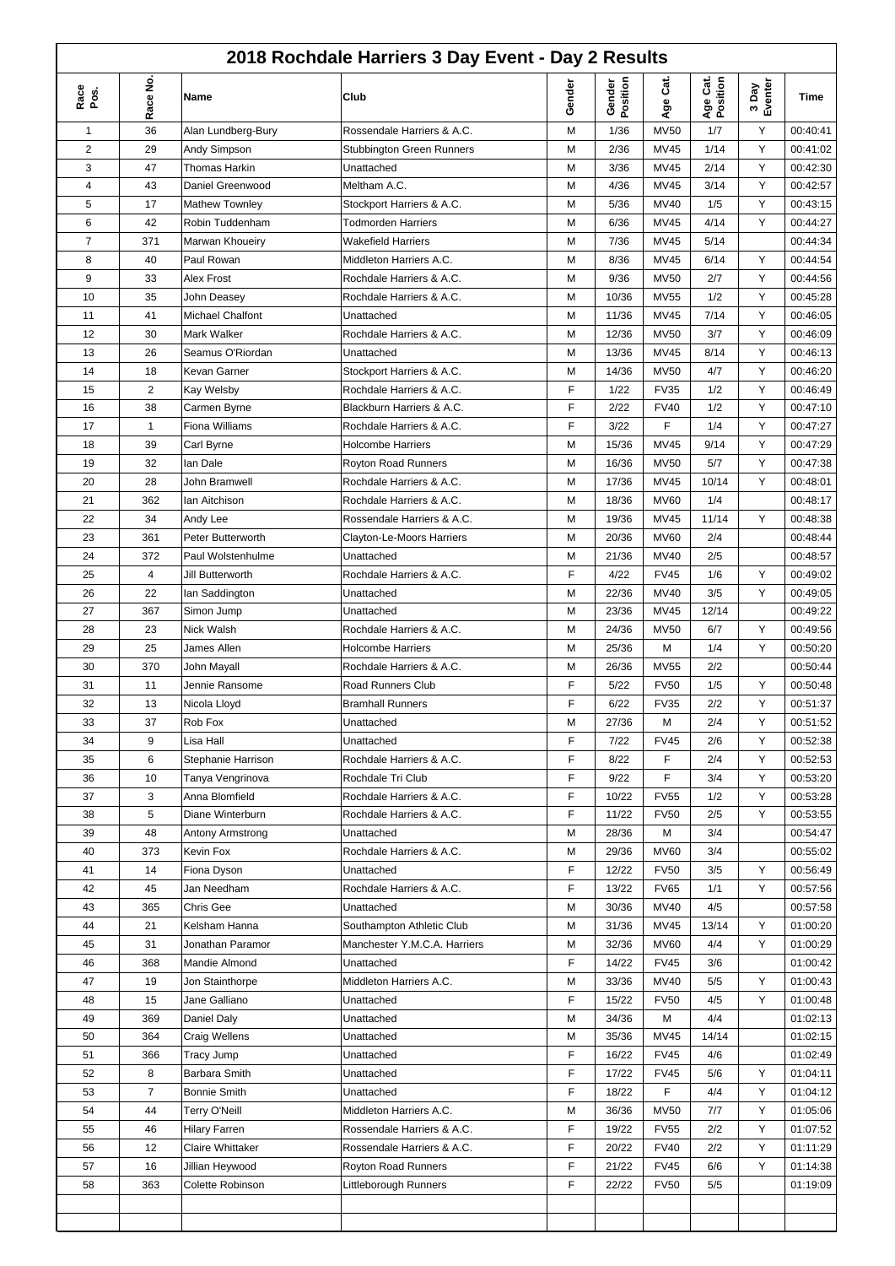## **2018 Rochdale Harriers 3 Day Event - Day 2 Results**

| 2018 Rochdale Harriers 3 Day Event - Day 2 Results |                |                         |                                  |        |                    |             |                      |                  |          |  |
|----------------------------------------------------|----------------|-------------------------|----------------------------------|--------|--------------------|-------------|----------------------|------------------|----------|--|
| Race<br>Pos.                                       | Race No.       | Name                    | Club                             | Gender | Gender<br>Position | Čã.<br>Age  | Age Cat.<br>Position | 3 Day<br>Eventer | Time     |  |
| $\mathbf{1}$                                       | 36             | Alan Lundberg-Bury      | Rossendale Harriers & A.C.       | M      | 1/36               | <b>MV50</b> | 1/7                  | Υ                | 00:40:41 |  |
| $\overline{2}$                                     | 29             | Andy Simpson            | <b>Stubbington Green Runners</b> | М      | 2/36               | <b>MV45</b> | 1/14                 | Υ                | 00:41:02 |  |
| 3                                                  | 47             | Thomas Harkin           | Unattached                       | М      | 3/36               | <b>MV45</b> | 2/14                 | Υ                | 00:42:30 |  |
| 4                                                  | 43             | Daniel Greenwood        | Meltham A.C.                     | М      | 4/36               | <b>MV45</b> | 3/14                 | Υ                | 00:42:57 |  |
| 5                                                  | 17             | <b>Mathew Townley</b>   | Stockport Harriers & A.C.        | М      | 5/36               | <b>MV40</b> | 1/5                  | Υ                | 00:43:15 |  |
| 6                                                  | 42             | Robin Tuddenham         | <b>Todmorden Harriers</b>        | M      | 6/36               | MV45        | 4/14                 | Y                | 00:44:27 |  |
| 7                                                  | 371            | Marwan Khoueiry         | <b>Wakefield Harriers</b>        | М      | 7/36               | MV45        | 5/14                 |                  | 00:44:34 |  |
| 8                                                  | 40             | Paul Rowan              | Middleton Harriers A.C.          | М      | 8/36               | <b>MV45</b> | 6/14                 | Υ                | 00:44:54 |  |
| 9                                                  | 33             | Alex Frost              | Rochdale Harriers & A.C.         | М      | 9/36               | <b>MV50</b> | 2/7                  | Y                | 00:44:56 |  |
| 10                                                 | 35             | John Deasey             | Rochdale Harriers & A.C.         | М      | 10/36              | <b>MV55</b> | 1/2                  | Υ                | 00:45:28 |  |
| 11                                                 | 41             | Michael Chalfont        | Unattached                       | M      | 11/36              | <b>MV45</b> | 7/14                 | Υ                | 00:46:05 |  |
| 12                                                 | 30             | Mark Walker             | Rochdale Harriers & A.C.         | М      | 12/36              | <b>MV50</b> | 3/7                  | Υ                | 00:46:09 |  |
| 13                                                 | 26             | Seamus O'Riordan        | Unattached                       | M      | 13/36              | <b>MV45</b> | 8/14                 | Y                | 00:46:13 |  |
| 14                                                 | 18             | Kevan Garner            | Stockport Harriers & A.C.        | М      | 14/36              | <b>MV50</b> | 4/7                  | Υ                | 00:46:20 |  |
| 15                                                 | $\overline{2}$ | Kay Welsby              | Rochdale Harriers & A.C.         | F      | 1/22               | <b>FV35</b> | 1/2                  | Υ                | 00:46:49 |  |
| 16                                                 | 38             | Carmen Byrne            | Blackburn Harriers & A.C.        | F      | 2/22               | <b>FV40</b> | 1/2                  | Υ                | 00:47:10 |  |
| 17                                                 | $\mathbf{1}$   | Fiona Williams          | Rochdale Harriers & A.C.         | F      | 3/22               | F           | 1/4                  | Υ                | 00:47:27 |  |
| 18                                                 | 39             | Carl Byrne              | <b>Holcombe Harriers</b>         | М      | 15/36              | <b>MV45</b> | 9/14                 | Υ                | 00:47:29 |  |
| 19                                                 | 32             | lan Dale                | Royton Road Runners              | М      | 16/36              | <b>MV50</b> | 5/7                  | Y                | 00:47:38 |  |
| 20                                                 | 28             | John Bramwell           | Rochdale Harriers & A.C.         | M      | 17/36              | <b>MV45</b> | 10/14                | Y                | 00:48:01 |  |
| 21                                                 | 362            | Ian Aitchison           | Rochdale Harriers & A.C.         | M      | 18/36              | <b>MV60</b> | 1/4                  |                  | 00:48:17 |  |
| 22                                                 | 34             | Andy Lee                | Rossendale Harriers & A.C.       | М      | 19/36              | <b>MV45</b> | 11/14                | Y                | 00:48:38 |  |
| 23                                                 | 361            | Peter Butterworth       | Clayton-Le-Moors Harriers        | М      | 20/36              | <b>MV60</b> | 2/4                  |                  | 00:48:44 |  |
| 24                                                 | 372            | Paul Wolstenhulme       | Unattached                       | М      | 21/36              | <b>MV40</b> | 2/5                  |                  | 00:48:57 |  |
| 25                                                 | 4              | Jill Butterworth        | Rochdale Harriers & A.C.         | F      | 4/22               | <b>FV45</b> | 1/6                  | Y                | 00:49:02 |  |
| 26                                                 | 22             | lan Saddington          | Unattached                       | M      | 22/36              | MV40        | 3/5                  | Y                | 00:49:05 |  |
| 27                                                 | 367            | Simon Jump              | Unattached                       | М      | 23/36              | MV45        | 12/14                |                  | 00:49:22 |  |
| 28                                                 | 23             | Nick Walsh              | Rochdale Harriers & A.C.         | М      | 24/36              | <b>MV50</b> | 6/7                  | Υ                | 00:49:56 |  |
| 29                                                 | 25             | James Allen             | <b>Holcombe Harriers</b>         | М      | 25/36              | M           | 1/4                  | Y                | 00:50:20 |  |
| 30                                                 | 370            | John Mayall             | Rochdale Harriers & A.C.         | М      | 26/36              | <b>MV55</b> | 2/2                  |                  | 00:50:44 |  |
| 31                                                 | 11             | Jennie Ransome          | Road Runners Club                | F      | 5/22               | <b>FV50</b> | 1/5                  | Υ                | 00:50:48 |  |
| 32                                                 | 13             | Nicola Lloyd            | <b>Bramhall Runners</b>          | F      | 6/22               | <b>FV35</b> | 2/2                  | Υ                | 00:51:37 |  |
| 33                                                 | 37             | Rob Fox                 | Unattached                       | М      | 27/36              | М           | 2/4                  | Υ                | 00:51:52 |  |
| 34                                                 | 9              | Lisa Hall               | Unattached                       | F      | 7/22               | <b>FV45</b> | 2/6                  | Υ                | 00:52:38 |  |
| 35                                                 | 6              | Stephanie Harrison      | Rochdale Harriers & A.C.         | F      | 8/22               | F           | 2/4                  | Υ                | 00:52:53 |  |
| 36                                                 | 10             | Tanya Vengrinova        | Rochdale Tri Club                | F      | 9/22               | F           | 3/4                  | Υ                | 00:53:20 |  |
| 37                                                 | 3              | Anna Blomfield          | Rochdale Harriers & A.C.         | F      | 10/22              | <b>FV55</b> | 1/2                  | Υ                | 00:53:28 |  |
| 38                                                 | 5              | Diane Winterburn        | Rochdale Harriers & A.C.         | F      | 11/22              | <b>FV50</b> | 2/5                  | Υ                | 00:53:55 |  |
| 39                                                 | 48             | <b>Antony Armstrong</b> | Unattached                       | М      | 28/36              | M           | 3/4                  |                  | 00:54:47 |  |
| 40                                                 | 373            | Kevin Fox               | Rochdale Harriers & A.C.         | М      | 29/36              | <b>MV60</b> | 3/4                  |                  | 00:55:02 |  |
| 41                                                 | 14             | Fiona Dyson             | Unattached                       | F      | 12/22              | <b>FV50</b> | 3/5                  | Υ                | 00:56:49 |  |
| 42                                                 | 45             | Jan Needham             | Rochdale Harriers & A.C.         | F      | 13/22              | <b>FV65</b> | 1/1                  | Υ                | 00:57:56 |  |
| 43                                                 | 365            | Chris Gee               | Unattached                       | M      | 30/36              | <b>MV40</b> | 4/5                  |                  | 00:57:58 |  |
| 44                                                 | 21             | Kelsham Hanna           | Southampton Athletic Club        | М      | 31/36              | <b>MV45</b> | 13/14                | Υ                | 01:00:20 |  |
| 45                                                 | 31             | Jonathan Paramor        | Manchester Y.M.C.A. Harriers     | М      | 32/36              | <b>MV60</b> | 4/4                  | Υ                | 01:00:29 |  |
| 46                                                 | 368            | Mandie Almond           | Unattached                       | F      | 14/22              | <b>FV45</b> | 3/6                  |                  | 01:00:42 |  |
| 47                                                 | 19             | Jon Stainthorpe         | Middleton Harriers A.C.          | М      | 33/36              | MV40        | 5/5                  | Υ                | 01:00:43 |  |
| 48                                                 | 15             | Jane Galliano           | Unattached                       | F      | 15/22              | <b>FV50</b> | 4/5                  | Y                | 01:00:48 |  |
| 49                                                 | 369            | Daniel Daly             | Unattached                       | М      | 34/36              | M           | 4/4                  |                  | 01:02:13 |  |
| 50                                                 | 364            | Craig Wellens           | Unattached                       | М      | 35/36              | <b>MV45</b> | 14/14                |                  | 01:02:15 |  |
| 51                                                 | 366            | <b>Tracy Jump</b>       | Unattached                       | F      | 16/22              | <b>FV45</b> | 4/6                  |                  | 01:02:49 |  |
| 52                                                 | 8              | Barbara Smith           | Unattached                       | F      | 17/22              | <b>FV45</b> | 5/6                  | Υ                | 01:04:11 |  |
| 53                                                 | $\overline{7}$ | <b>Bonnie Smith</b>     | Unattached                       | F      | 18/22              | F           | 4/4                  | Υ                | 01:04:12 |  |
| 54                                                 | 44             | <b>Terry O'Neill</b>    | Middleton Harriers A.C.          | М      | 36/36              | <b>MV50</b> | 7/7                  | Y                | 01:05:06 |  |
| 55                                                 | 46             | <b>Hilary Farren</b>    | Rossendale Harriers & A.C.       | F      | 19/22              | <b>FV55</b> | 2/2                  | Υ                | 01:07:52 |  |
| 56                                                 | 12             | <b>Claire Whittaker</b> | Rossendale Harriers & A.C.       | F      | 20/22              | <b>FV40</b> | 2/2                  | Υ                | 01:11:29 |  |
| 57                                                 | 16             | Jillian Heywood         | Royton Road Runners              | F      | 21/22              | <b>FV45</b> | 6/6                  | Υ                | 01:14:38 |  |
| 58                                                 | 363            | Colette Robinson        | Littleborough Runners            | F      | 22/22              | <b>FV50</b> | 5/5                  |                  | 01:19:09 |  |
|                                                    |                |                         |                                  |        |                    |             |                      |                  |          |  |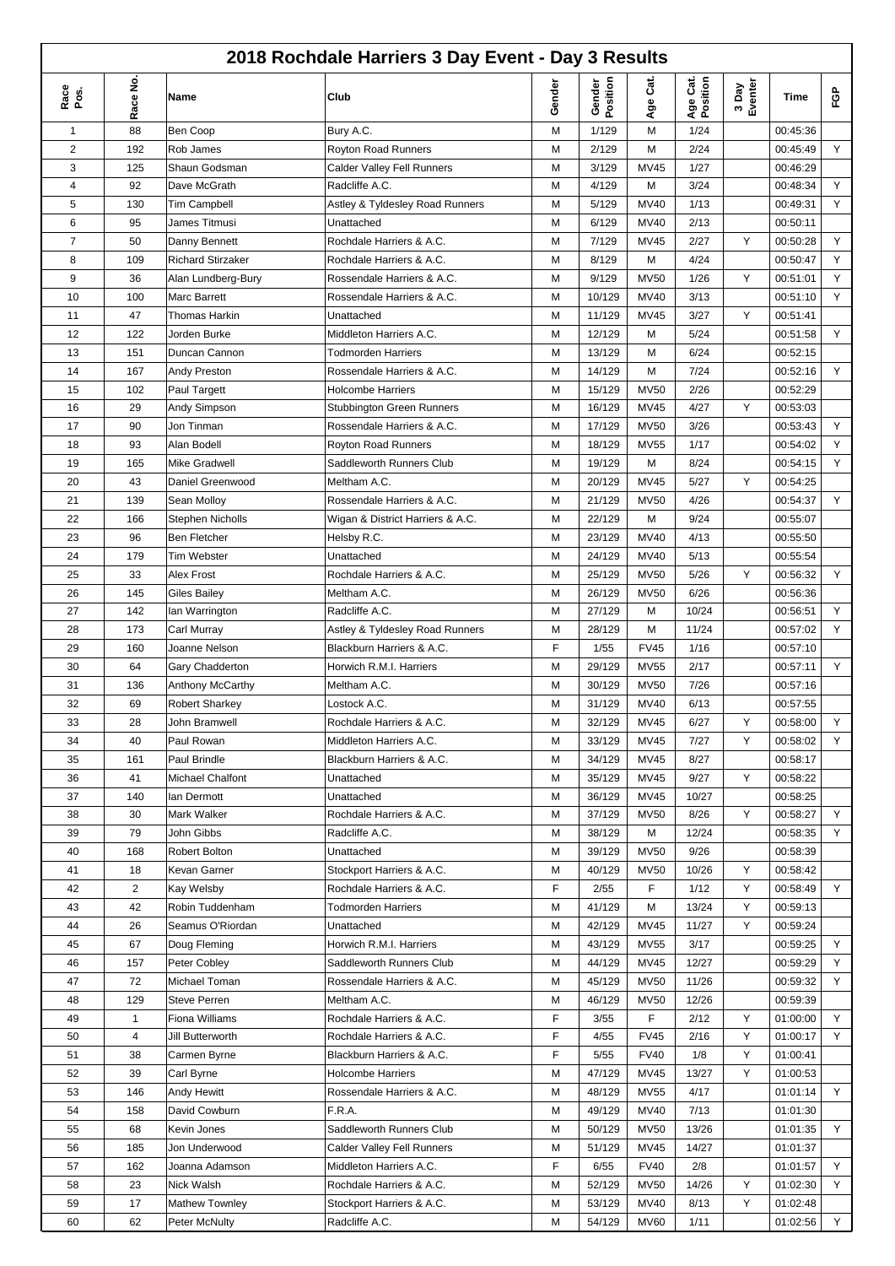|                | 2018 Rochdale Harriers 3 Day Event - Day 3 Results |                                        |                                                     |        |                    |              |                      |                  |          |        |  |  |
|----------------|----------------------------------------------------|----------------------------------------|-----------------------------------------------------|--------|--------------------|--------------|----------------------|------------------|----------|--------|--|--|
| Race<br>Pos.   | Race No                                            | Name                                   | Club                                                | Gender | Gender<br>Position | Age Cat.     | Age Cat.<br>Position | 3 Day<br>Eventer | Time     | FGP    |  |  |
| 1              | 88                                                 | Ben Coop                               | Bury A.C.                                           | М      | 1/129              | M            | 1/24                 |                  | 00:45:36 |        |  |  |
| $\overline{2}$ | 192                                                | Rob James                              | Royton Road Runners                                 | M      | 2/129              | M            | 2/24                 |                  | 00:45:49 | Y      |  |  |
| 3              | 125                                                | Shaun Godsman                          | <b>Calder Valley Fell Runners</b>                   | M      | 3/129              | <b>MV45</b>  | 1/27                 |                  | 00:46:29 |        |  |  |
| $\overline{4}$ | 92                                                 | Dave McGrath                           | Radcliffe A.C.                                      | M      | 4/129              | M            | 3/24                 |                  | 00:48:34 | Υ      |  |  |
| 5              | 130                                                | Tim Campbell                           | Astley & Tyldesley Road Runners                     | М      | 5/129              | <b>MV40</b>  | 1/13                 |                  | 00:49:31 | Y      |  |  |
| 6              | 95                                                 | James Titmusi                          | Unattached                                          | М      | 6/129              | <b>MV40</b>  | 2/13                 |                  | 00:50:11 |        |  |  |
| $\overline{7}$ | 50                                                 | Danny Bennett                          | Rochdale Harriers & A.C.                            | M      | 7/129              | <b>MV45</b>  | 2/27                 | Y                | 00:50:28 | Υ      |  |  |
| 8              | 109                                                | <b>Richard Stirzaker</b>               | Rochdale Harriers & A.C.                            | М      | 8/129              | M            | 4/24                 |                  | 00:50:47 | Y      |  |  |
| 9              | 36                                                 | Alan Lundberg-Bury                     | Rossendale Harriers & A.C.                          | M      | 9/129              | <b>MV50</b>  | 1/26                 | Y                | 00:51:01 | Y      |  |  |
| 10             | 100                                                | Marc Barrett                           | Rossendale Harriers & A.C.                          | M      | 10/129             | MV40         | 3/13                 |                  | 00:51:10 | Y      |  |  |
| 11             | 47                                                 | Thomas Harkin                          | Unattached                                          | M      | 11/129             | <b>MV45</b>  | 3/27                 | Y                | 00:51:41 |        |  |  |
| 12             | 122                                                | Jorden Burke                           | Middleton Harriers A.C.                             | M      | 12/129             | M            | 5/24                 |                  | 00:51:58 | Y      |  |  |
| 13             | 151                                                | Duncan Cannon                          | <b>Todmorden Harriers</b>                           | M      | 13/129             | M            | 6/24                 |                  | 00:52:15 |        |  |  |
| 14             | 167                                                | Andy Preston                           | Rossendale Harriers & A.C.                          | M      | 14/129             | M            | 7/24                 |                  | 00:52:16 | Y      |  |  |
| 15             | 102                                                | Paul Targett                           | <b>Holcombe Harriers</b>                            | М      | 15/129             | <b>MV50</b>  | 2/26                 |                  | 00:52:29 |        |  |  |
| 16             | 29                                                 | Andy Simpson                           | <b>Stubbington Green Runners</b>                    | М      | 16/129             | <b>MV45</b>  | 4/27                 | Y                | 00:53:03 |        |  |  |
| 17             | 90                                                 | Jon Tinman                             | Rossendale Harriers & A.C.                          | M      | 17/129             | <b>MV50</b>  | 3/26                 |                  | 00:53:43 | Υ      |  |  |
| 18             | 93                                                 | Alan Bodell                            | Royton Road Runners                                 | М      | 18/129             | <b>MV55</b>  | 1/17                 |                  | 00:54:02 | Υ      |  |  |
| 19             | 165                                                | <b>Mike Gradwell</b>                   | Saddleworth Runners Club                            | M      | 19/129             | M            | 8/24                 |                  | 00:54:15 | Y      |  |  |
| 20             | 43                                                 | Daniel Greenwood                       | Meltham A.C.                                        | M      | 20/129             | MV45         | 5/27                 | Y                | 00:54:25 |        |  |  |
| 21             | 139                                                | Sean Molloy                            | Rossendale Harriers & A.C.                          | M      | 21/129             | <b>MV50</b>  | 4/26                 |                  | 00:54:37 | Y      |  |  |
| 22             | 166                                                | <b>Stephen Nicholls</b>                | Wigan & District Harriers & A.C.                    | M      | 22/129             | M            | 9/24                 |                  | 00:55:07 |        |  |  |
| 23             | 96                                                 | Ben Fletcher                           | Helsby R.C.                                         | M      | 23/129             | MV40         | 4/13                 |                  | 00:55:50 |        |  |  |
| 24             | 179                                                | Tim Webster                            | Unattached                                          | М      | 24/129             | MV40         | 5/13                 |                  | 00:55:54 |        |  |  |
| 25             | 33                                                 | Alex Frost                             | Rochdale Harriers & A.C.                            | M      | 25/129             | <b>MV50</b>  | 5/26                 | Y                | 00:56:32 | Y      |  |  |
| 26             | 145                                                | Giles Bailey                           | Meltham A.C.                                        | M      | 26/129             | <b>MV50</b>  | 6/26                 |                  | 00:56:36 |        |  |  |
| 27             | 142                                                |                                        | Radcliffe A.C.                                      | М      | 27/129             | M            | 10/24                |                  | 00:56:51 | Y      |  |  |
| 28             | 173                                                | lan Warrington<br>Carl Murray          | Astley & Tyldesley Road Runners                     | М      | 28/129             | M            | 11/24                |                  | 00:57:02 | Y      |  |  |
| 29             | 160                                                | Joanne Nelson                          | Blackburn Harriers & A.C.                           | F      | 1/55               | <b>FV45</b>  | 1/16                 |                  | 00:57:10 |        |  |  |
| 30             | 64                                                 | Gary Chadderton                        | Horwich R.M.I. Harriers                             | М      | 29/129             | <b>MV55</b>  | 2/17                 |                  | 00:57:11 | Y      |  |  |
| 31             | 136                                                | Anthony McCarthy                       | Meltham A.C.                                        | М      | 30/129             | <b>MV50</b>  | 7/26                 |                  | 00:57:16 |        |  |  |
|                |                                                    |                                        |                                                     |        |                    |              |                      |                  |          |        |  |  |
| 32             | 69                                                 | <b>Robert Sharkey</b><br>John Bramwell | Lostock A.C.                                        | M      | 31/129             | MV40         | 6/13                 |                  | 00:57:55 |        |  |  |
| 33<br>34       | 28<br>40                                           | Paul Rowan                             | Rochdale Harriers & A.C.<br>Middleton Harriers A.C. | M<br>M | 32/129             | MV45<br>MV45 | 6/27<br>7/27         | Y<br>Y           | 00:58:00 | Υ<br>Y |  |  |
|                |                                                    | Paul Brindle                           |                                                     |        | 33/129             |              |                      |                  | 00:58:02 |        |  |  |
| 35             | 161                                                |                                        | Blackburn Harriers & A.C.                           | M      | 34/129             | MV45         | 8/27                 |                  | 00:58:17 |        |  |  |
| 36             | 41                                                 | Michael Chalfont                       | Unattached                                          | M      | 35/129             | MV45         | 9/27                 | Y                | 00:58:22 |        |  |  |
| 37             | 140                                                | lan Dermott                            | Unattached                                          | М      | 36/129             | MV45         | 10/27                |                  | 00:58:25 |        |  |  |
| 38             | 30                                                 | Mark Walker                            | Rochdale Harriers & A.C.                            | M      | 37/129             | <b>MV50</b>  | 8/26                 | Y                | 00:58:27 | Y      |  |  |
| 39             | 79                                                 | John Gibbs                             | Radcliffe A.C.                                      | М      | 38/129             | М            | 12/24                |                  | 00:58:35 | Y      |  |  |
| 40             | 168                                                | Robert Bolton                          | Unattached                                          | М      | 39/129             | <b>MV50</b>  | 9/26                 |                  | 00:58:39 |        |  |  |
| 41             | 18                                                 | Kevan Garner                           | Stockport Harriers & A.C.                           | M      | 40/129             | <b>MV50</b>  | 10/26                | Υ                | 00:58:42 |        |  |  |
| 42             | $\overline{2}$                                     | Kay Welsby                             | Rochdale Harriers & A.C.                            | F      | 2/55               | F            | 1/12                 | Υ                | 00:58:49 | Y      |  |  |
| 43             | 42                                                 | Robin Tuddenham                        | Todmorden Harriers                                  | М      | 41/129             | M            | 13/24                | Υ                | 00:59:13 |        |  |  |
| 44             | 26                                                 | Seamus O'Riordan                       | Unattached                                          | M      | 42/129             | MV45         | 11/27                | Υ                | 00:59:24 |        |  |  |
| 45             | 67                                                 | Doug Fleming                           | Horwich R.M.I. Harriers                             | M      | 43/129             | <b>MV55</b>  | 3/17                 |                  | 00:59:25 | Y      |  |  |
| 46             | 157                                                | Peter Cobley                           | Saddleworth Runners Club                            | М      | 44/129             | MV45         | 12/27                |                  | 00:59:29 | Υ      |  |  |
| 47             | 72                                                 | Michael Toman                          | Rossendale Harriers & A.C.                          | M      | 45/129             | <b>MV50</b>  | 11/26                |                  | 00:59:32 | Y      |  |  |
| 48             | 129                                                | <b>Steve Perren</b>                    | Meltham A.C.                                        | M      | 46/129             | <b>MV50</b>  | 12/26                |                  | 00:59:39 |        |  |  |
| 49             | $\mathbf{1}$                                       | Fiona Williams                         | Rochdale Harriers & A.C.                            | F      | 3/55               | F            | 2/12                 | Υ                | 01:00:00 | Y      |  |  |
| 50             | 4                                                  | Jill Butterworth                       | Rochdale Harriers & A.C.                            | F      | 4/55               | <b>FV45</b>  | 2/16                 | Y                | 01:00:17 | Y      |  |  |
| 51             | 38                                                 | Carmen Byrne                           | Blackburn Harriers & A.C.                           | F      | 5/55               | <b>FV40</b>  | 1/8                  | Υ                | 01:00:41 |        |  |  |
| 52             | 39                                                 | Carl Byrne                             | <b>Holcombe Harriers</b>                            | М      | 47/129             | <b>MV45</b>  | 13/27                | Y                | 01:00:53 |        |  |  |
| 53             | 146                                                | Andy Hewitt                            | Rossendale Harriers & A.C.                          | M      | 48/129             | <b>MV55</b>  | 4/17                 |                  | 01:01:14 | Y      |  |  |
| 54             | 158                                                | David Cowburn                          | F.R.A.                                              | М      | 49/129             | MV40         | 7/13                 |                  | 01:01:30 |        |  |  |
| 55             | 68                                                 | Kevin Jones                            | Saddleworth Runners Club                            | М      | 50/129             | <b>MV50</b>  | 13/26                |                  | 01:01:35 | Y      |  |  |
| 56             | 185                                                | Jon Underwood                          | <b>Calder Valley Fell Runners</b>                   | М      | 51/129             | MV45         | 14/27                |                  | 01:01:37 |        |  |  |
| 57             | 162                                                | Joanna Adamson                         | Middleton Harriers A.C.                             | F      | 6/55               | <b>FV40</b>  | 2/8                  |                  | 01:01:57 | Y      |  |  |
| 58             | 23                                                 | Nick Walsh                             | Rochdale Harriers & A.C.                            | M      | 52/129             | <b>MV50</b>  | 14/26                | Υ                | 01:02:30 | Y      |  |  |
| 59             | 17                                                 | Mathew Townley                         | Stockport Harriers & A.C.                           | M      | 53/129             | MV40         | 8/13                 | Υ                | 01:02:48 |        |  |  |
| 60             | 62                                                 | Peter McNulty                          | Radcliffe A.C.                                      | M      | 54/129             | <b>MV60</b>  | 1/11                 |                  | 01:02:56 | Y      |  |  |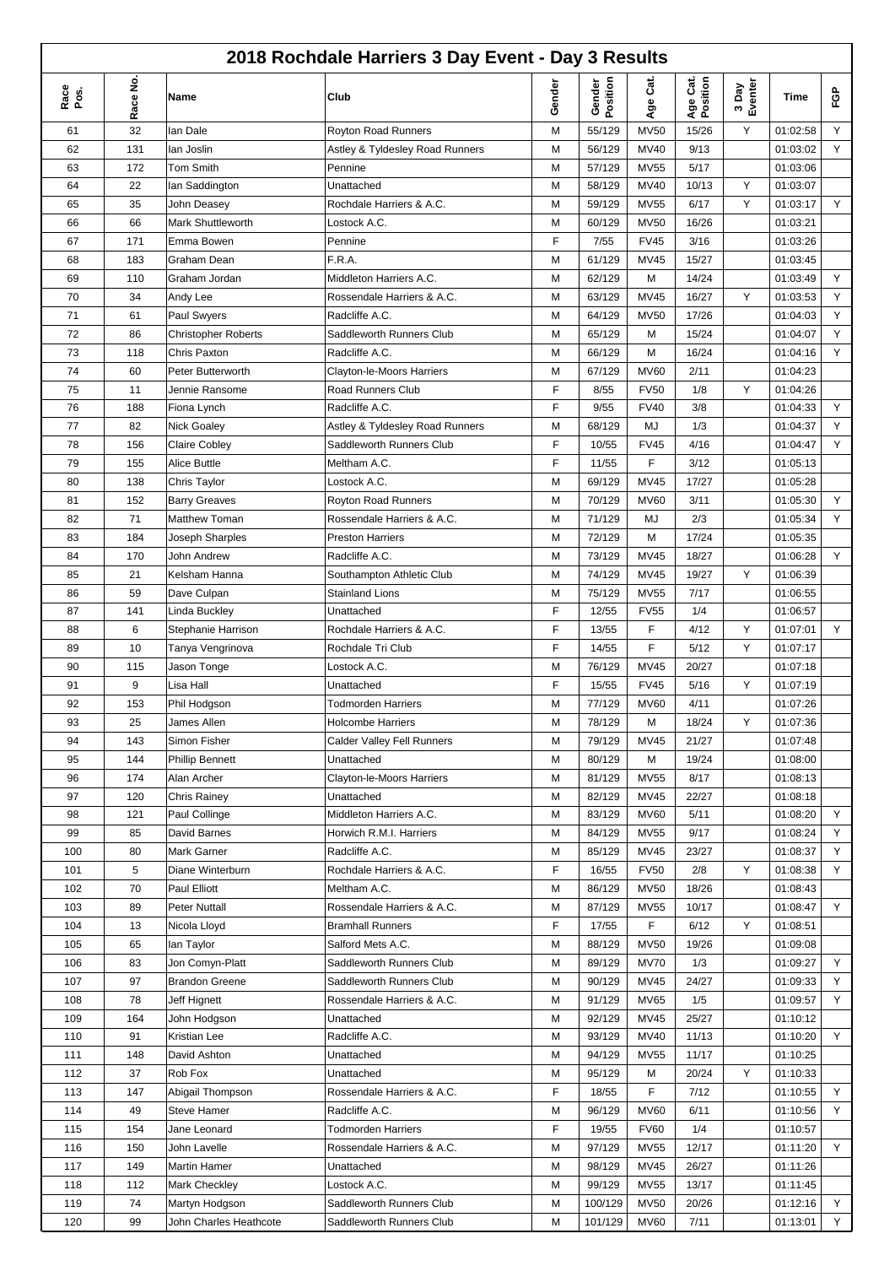|              | 2018 Rochdale Harriers 3 Day Event - Day 3 Results |                            |                                 |        |                    |             |                      |                  |          |    |  |  |
|--------------|----------------------------------------------------|----------------------------|---------------------------------|--------|--------------------|-------------|----------------------|------------------|----------|----|--|--|
| Race<br>Pos. | Race No                                            | Name                       | Club                            | Gender | Gender<br>Position | Age Cat.    | Age Cat.<br>Position | 3 Day<br>Eventer | Time     | ၉၉ |  |  |
| 61           | 32                                                 | lan Dale                   | <b>Royton Road Runners</b>      | М      | 55/129             | <b>MV50</b> | 15/26                | Y                | 01:02:58 | Υ  |  |  |
| 62           | 131                                                | lan Joslin                 | Astley & Tyldesley Road Runners | М      | 56/129             | <b>MV40</b> | 9/13                 |                  | 01:03:02 | Υ  |  |  |
| 63           | 172                                                | Tom Smith                  | Pennine                         | M      | 57/129             | <b>MV55</b> | 5/17                 |                  | 01:03:06 |    |  |  |
| 64           | 22                                                 | lan Saddington             | Unattached                      | M      | 58/129             | <b>MV40</b> | 10/13                | Y                | 01:03:07 |    |  |  |
| 65           | 35                                                 | John Deasey                | Rochdale Harriers & A.C.        | M      | 59/129             | <b>MV55</b> | 6/17                 | Y                | 01:03:17 | Y  |  |  |
| 66           | 66                                                 | <b>Mark Shuttleworth</b>   | Lostock A.C.                    | М      | 60/129             | <b>MV50</b> | 16/26                |                  | 01:03:21 |    |  |  |
| 67           | 171                                                | Emma Bowen                 | Pennine                         | F      | 7/55               | <b>FV45</b> | 3/16                 |                  | 01:03:26 |    |  |  |
| 68           | 183                                                | Graham Dean                | F.R.A.                          | М      | 61/129             | <b>MV45</b> | 15/27                |                  | 01:03:45 |    |  |  |
| 69           | 110                                                | Graham Jordan              | Middleton Harriers A.C.         | M      | 62/129             | M           | 14/24                |                  | 01:03:49 | Y  |  |  |
| 70           | 34                                                 | Andy Lee                   | Rossendale Harriers & A.C.      | М      | 63/129             | <b>MV45</b> | 16/27                | Υ                | 01:03:53 | Υ  |  |  |
| 71           | 61                                                 | Paul Swyers                | Radcliffe A.C.                  | M      | 64/129             | <b>MV50</b> | 17/26                |                  | 01:04:03 | Υ  |  |  |
| 72           | 86                                                 | <b>Christopher Roberts</b> | Saddleworth Runners Club        | М      | 65/129             | M           | 15/24                |                  | 01:04:07 | Υ  |  |  |
| 73           | 118                                                | Chris Paxton               | Radcliffe A.C.                  | M      | 66/129             | M           | 16/24                |                  | 01:04:16 | Υ  |  |  |
| 74           | 60                                                 | Peter Butterworth          | Clayton-le-Moors Harriers       | M      | 67/129             | <b>MV60</b> | 2/11                 |                  | 01:04:23 |    |  |  |
| 75           | 11                                                 | Jennie Ransome             | <b>Road Runners Club</b>        | F      | 8/55               | <b>FV50</b> | 1/8                  | Y                | 01:04:26 |    |  |  |
| 76           | 188                                                | Fiona Lynch                | Radcliffe A.C.                  | F      | 9/55               | <b>FV40</b> | 3/8                  |                  | 01:04:33 | Υ  |  |  |
| 77           | 82                                                 | <b>Nick Goaley</b>         | Astley & Tyldesley Road Runners | М      | 68/129             | MJ          | 1/3                  |                  | 01:04:37 | Υ  |  |  |
| 78           | 156                                                | <b>Claire Cobley</b>       | Saddleworth Runners Club        | F      | 10/55              | <b>FV45</b> | 4/16                 |                  | 01:04:47 | Y  |  |  |
| 79           | 155                                                | Alice Buttle               | Meltham A.C.                    | F      | 11/55              | F           | 3/12                 |                  | 01:05:13 |    |  |  |
| 80           | 138                                                | Chris Taylor               | Lostock A.C.                    | M      | 69/129             | <b>MV45</b> | 17/27                |                  | 01:05:28 |    |  |  |
|              |                                                    |                            |                                 |        |                    |             |                      |                  |          | Υ  |  |  |
| 81           | 152<br>71                                          | <b>Barry Greaves</b>       | Royton Road Runners             | М      | 70/129             | <b>MV60</b> | 3/11                 |                  | 01:05:30 | Y  |  |  |
| 82           |                                                    | Matthew Toman              | Rossendale Harriers & A.C.      | М      | 71/129             | MJ          | 2/3                  |                  | 01:05:34 |    |  |  |
| 83           | 184                                                | Joseph Sharples            | <b>Preston Harriers</b>         | M      | 72/129             | M           | 17/24                |                  | 01:05:35 |    |  |  |
| 84           | 170                                                | John Andrew                | Radcliffe A.C.                  | М      | 73/129             | <b>MV45</b> | 18/27                |                  | 01:06:28 | Y  |  |  |
| 85           | 21                                                 | Kelsham Hanna              | Southampton Athletic Club       | М      | 74/129             | <b>MV45</b> | 19/27                | Y                | 01:06:39 |    |  |  |
| 86           | 59                                                 | Dave Culpan                | <b>Stainland Lions</b>          | М      | 75/129             | <b>MV55</b> | 7/17                 |                  | 01:06:55 |    |  |  |
| 87           | 141                                                | Linda Buckley              | Unattached                      | F      | 12/55              | <b>FV55</b> | 1/4                  |                  | 01:06:57 |    |  |  |
| 88           | 6                                                  | Stephanie Harrison         | Rochdale Harriers & A.C.        | F      | 13/55              | F           | 4/12                 | Υ                | 01:07:01 | Y. |  |  |
| 89           | 10                                                 | Tanya Vengrinova           | Rochdale Tri Club               | F      | 14/55              | F           | 5/12                 | Y                | 01:07:17 |    |  |  |
| 90           | 115                                                | Jason Tonge                | Lostock A.C.                    | М      | 76/129             | <b>MV45</b> | 20/27                |                  | 01:07:18 |    |  |  |
| 91           | 9                                                  | Lisa Hall                  | Unattached                      | F      | 15/55              | <b>FV45</b> | 5/16                 | Y                | 01:07:19 |    |  |  |
| 92           | 153                                                | Phil Hodgson               | <b>Todmorden Harriers</b>       | М      | 77/129             | <b>MV60</b> | 4/11                 |                  | 01:07:26 |    |  |  |
| 93           | 25                                                 | James Allen                | <b>Holcombe Harriers</b>        | M      | 78/129             | М           | 18/24                | Y                | 01:07:36 |    |  |  |
| 94           | 143                                                | Simon Fisher               | Calder Valley Fell Runners      | М      | 79/129             | <b>MV45</b> | 21/27                |                  | 01:07:48 |    |  |  |
| 95           | 144                                                | <b>Phillip Bennett</b>     | Unattached                      | М      | 80/129             | М           | 19/24                |                  | 01:08:00 |    |  |  |
| 96           | 174                                                | Alan Archer                | Clayton-le-Moors Harriers       | М      | 81/129             | <b>MV55</b> | 8/17                 |                  | 01:08:13 |    |  |  |
| 97           | 120                                                | <b>Chris Rainey</b>        | Unattached                      | М      | 82/129             | <b>MV45</b> | 22/27                |                  | 01:08:18 |    |  |  |
| 98           | 121                                                | Paul Collinge              | Middleton Harriers A.C.         | М      | 83/129             | <b>MV60</b> | 5/11                 |                  | 01:08:20 | Y  |  |  |
| 99           | 85                                                 | David Barnes               | Horwich R.M.I. Harriers         | М      | 84/129             | <b>MV55</b> | 9/17                 |                  | 01:08:24 | Y  |  |  |
| 100          | 80                                                 | Mark Garner                | Radcliffe A.C.                  | Μ      | 85/129             | <b>MV45</b> | 23/27                |                  | 01:08:37 | Y  |  |  |
| 101          | 5                                                  | Diane Winterburn           | Rochdale Harriers & A.C.        | F      | 16/55              | <b>FV50</b> | 2/8                  | Υ                | 01:08:38 | Y  |  |  |
| 102          | 70                                                 | Paul Elliott               | Meltham A.C.                    | М      | 86/129             | <b>MV50</b> | 18/26                |                  | 01:08:43 |    |  |  |
| 103          | 89                                                 | <b>Peter Nuttall</b>       | Rossendale Harriers & A.C.      | М      | 87/129             | <b>MV55</b> | 10/17                |                  | 01:08:47 | Y  |  |  |
| 104          | 13                                                 | Nicola Lloyd               | <b>Bramhall Runners</b>         | F      | 17/55              | F           | 6/12                 | Y                | 01:08:51 |    |  |  |
| 105          | 65                                                 | lan Taylor                 | Salford Mets A.C.               | М      | 88/129             | <b>MV50</b> | 19/26                |                  | 01:09:08 |    |  |  |
| 106          | 83                                                 | Jon Comyn-Platt            | Saddleworth Runners Club        | М      | 89/129             | <b>MV70</b> | 1/3                  |                  | 01:09:27 | Y  |  |  |
| 107          | 97                                                 | <b>Brandon Greene</b>      | Saddleworth Runners Club        | М      | 90/129             | MV45        | 24/27                |                  | 01:09:33 | Y  |  |  |
| 108          | 78                                                 | Jeff Hignett               | Rossendale Harriers & A.C.      | Μ      | 91/129             | MV65        | 1/5                  |                  | 01:09:57 | Y  |  |  |
| 109          | 164                                                | John Hodgson               | Unattached                      | М      | 92/129             | <b>MV45</b> | 25/27                |                  | 01:10:12 |    |  |  |
| 110          | 91                                                 | Kristian Lee               | Radcliffe A.C.                  | М      | 93/129             | <b>MV40</b> | 11/13                |                  | 01:10:20 | Y. |  |  |
| 111          | 148                                                | David Ashton               | Unattached                      | М      | 94/129             | <b>MV55</b> | 11/17                |                  | 01:10:25 |    |  |  |
| 112          | 37                                                 | Rob Fox                    | Unattached                      | М      | 95/129             | М           | 20/24                | Y                | 01:10:33 |    |  |  |
| 113          | 147                                                | Abigail Thompson           | Rossendale Harriers & A.C.      | F      | 18/55              | F           | 7/12                 |                  | 01:10:55 | Y  |  |  |
| 114          | 49                                                 | <b>Steve Hamer</b>         | Radcliffe A.C.                  | М      | 96/129             | <b>MV60</b> | 6/11                 |                  | 01:10:56 | Y  |  |  |
| 115          | 154                                                | Jane Leonard               | Todmorden Harriers              | F      | 19/55              | <b>FV60</b> | 1/4                  |                  | 01:10:57 |    |  |  |
| 116          | 150                                                | John Lavelle               | Rossendale Harriers & A.C.      | М      | 97/129             | <b>MV55</b> | 12/17                |                  | 01:11:20 | Y  |  |  |
| 117          | 149                                                | Martin Hamer               | Unattached                      | М      | 98/129             | <b>MV45</b> | 26/27                |                  | 01:11:26 |    |  |  |
| 118          | 112                                                | Mark Checkley              | Lostock A.C.                    | М      | 99/129             | <b>MV55</b> | 13/17                |                  | 01:11:45 |    |  |  |
| 119          | 74                                                 | Martyn Hodgson             | Saddleworth Runners Club        | М      | 100/129            | <b>MV50</b> | 20/26                |                  | 01:12:16 | Y  |  |  |
| 120          | 99                                                 | John Charles Heathcote     | Saddleworth Runners Club        | М      | 101/129            | <b>MV60</b> | 7/11                 |                  | 01:13:01 | Y. |  |  |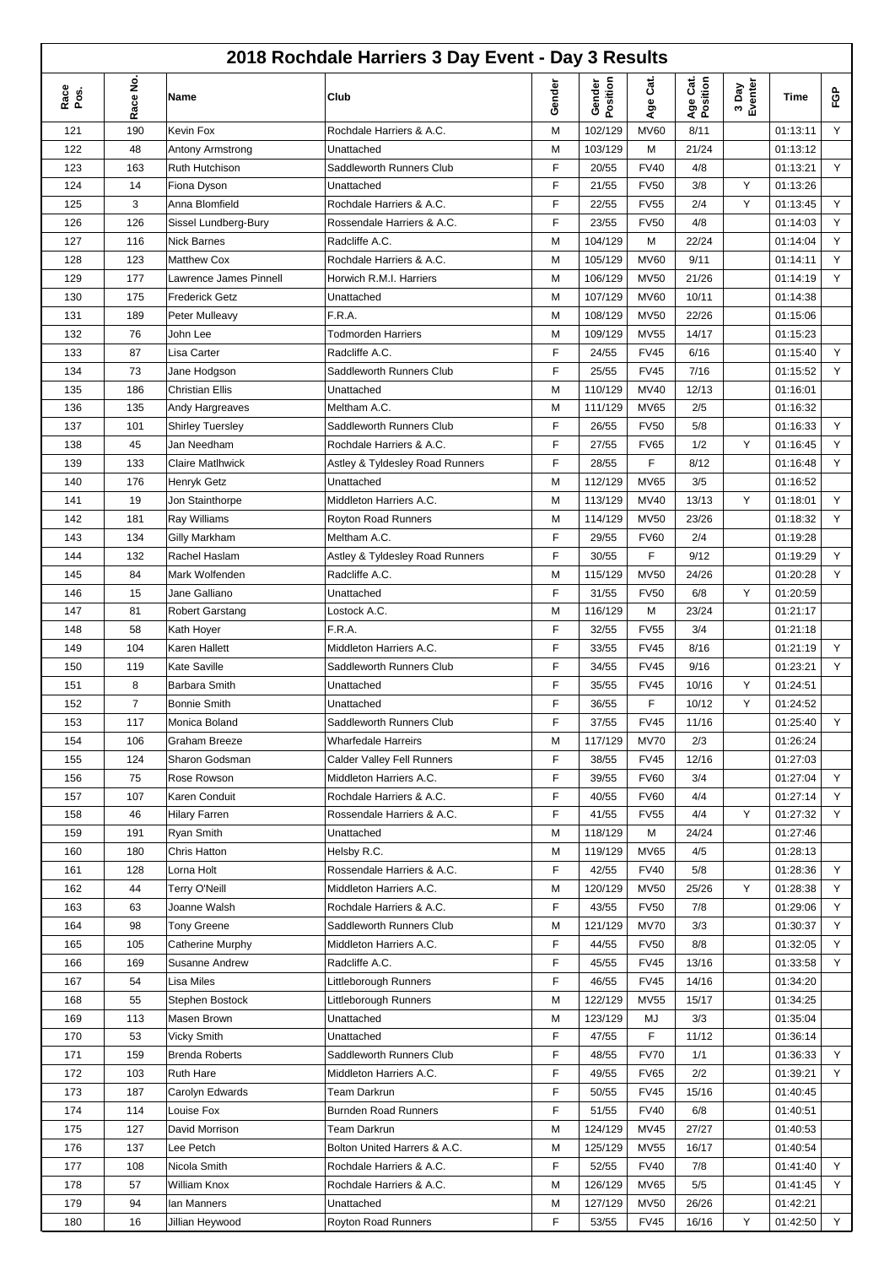|              |         |                         | 2018 Rochdale Harriers 3 Day Event - Day 3 Results |        |                    |             |                      |                  |          |    |
|--------------|---------|-------------------------|----------------------------------------------------|--------|--------------------|-------------|----------------------|------------------|----------|----|
| Race<br>Pos. | Race No | Name                    | Club                                               | Gender | Gender<br>Position | Age Cat.    | Age Cat.<br>Position | 3 Day<br>Eventer | Time     | ၉၉ |
| 121          | 190     | Kevin Fox               | Rochdale Harriers & A.C.                           | M      | 102/129            | <b>MV60</b> | 8/11                 |                  | 01:13:11 | Y  |
| 122          | 48      | Antony Armstrong        | Unattached                                         | M      | 103/129            | M           | 21/24                |                  | 01:13:12 |    |
| 123          | 163     | Ruth Hutchison          | Saddleworth Runners Club                           | F      | 20/55              | <b>FV40</b> | 4/8                  |                  | 01:13:21 | Υ  |
| 124          | 14      | Fiona Dyson             | Unattached                                         | F      | 21/55              | <b>FV50</b> | 3/8                  | Y                | 01:13:26 |    |
| 125          | 3       | Anna Blomfield          | Rochdale Harriers & A.C.                           | F      | 22/55              | <b>FV55</b> | 2/4                  | Y                | 01:13:45 | Υ  |
| 126          | 126     | Sissel Lundberg-Bury    | Rossendale Harriers & A.C.                         | F      | 23/55              | <b>FV50</b> | 4/8                  |                  | 01:14:03 | Υ  |
| 127          | 116     | <b>Nick Barnes</b>      | Radcliffe A.C.                                     | M      | 104/129            | M           | 22/24                |                  | 01:14:04 | Υ  |
| 128          | 123     | <b>Matthew Cox</b>      | Rochdale Harriers & A.C.                           | M      | 105/129            | <b>MV60</b> | 9/11                 |                  | 01:14:11 | Y  |
| 129          | 177     | Lawrence James Pinnell  | Horwich R.M.I. Harriers                            | M      | 106/129            | <b>MV50</b> | 21/26                |                  | 01:14:19 | Y  |
| 130          | 175     | <b>Frederick Getz</b>   | Unattached                                         | M      | 107/129            | <b>MV60</b> | 10/11                |                  | 01:14:38 |    |
| 131          | 189     | Peter Mulleavy          | F.R.A.                                             | М      | 108/129            | <b>MV50</b> | 22/26                |                  | 01:15:06 |    |
| 132          | 76      | John Lee                | <b>Todmorden Harriers</b>                          | M      | 109/129            | <b>MV55</b> | 14/17                |                  | 01:15:23 |    |
| 133          | 87      | Lisa Carter             | Radcliffe A.C.                                     | F      | 24/55              | <b>FV45</b> | 6/16                 |                  | 01:15:40 | Y  |
| 134          | 73      | Jane Hodgson            | Saddleworth Runners Club                           | F      | 25/55              | <b>FV45</b> | 7/16                 |                  | 01:15:52 | Y  |
| 135          | 186     | <b>Christian Ellis</b>  | Unattached                                         | M      | 110/129            | MV40        | 12/13                |                  | 01:16:01 |    |
| 136          | 135     | Andy Hargreaves         | Meltham A.C.                                       | М      | 111/129            | <b>MV65</b> | 2/5                  |                  | 01:16:32 |    |
| 137          | 101     | <b>Shirley Tuersley</b> | Saddleworth Runners Club                           | F      | 26/55              | <b>FV50</b> | 5/8                  |                  | 01:16:33 | Y  |
| 138          | 45      | Jan Needham             | Rochdale Harriers & A.C.                           | F      | 27/55              | <b>FV65</b> | 1/2                  | Y                | 01:16:45 | Υ  |
| 139          | 133     | Claire Matlhwick        | Astley & Tyldesley Road Runners                    | F      | 28/55              | F           | 8/12                 |                  | 01:16:48 | Y  |
| 140          | 176     | Henryk Getz             | Unattached                                         | M      | 112/129            | <b>MV65</b> | 3/5                  |                  | 01:16:52 |    |
| 141          | 19      | Jon Stainthorpe         | Middleton Harriers A.C.                            | M      | 113/129            | MV40        | 13/13                | Y                | 01:18:01 | Υ  |
| 142          | 181     | Ray Williams            | Royton Road Runners                                | M      | 114/129            | <b>MV50</b> | 23/26                |                  | 01:18:32 | Y  |
| 143          | 134     | <b>Gilly Markham</b>    | Meltham A.C.                                       | F      | 29/55              | <b>FV60</b> | 2/4                  |                  | 01:19:28 |    |
| 144          | 132     | Rachel Haslam           | Astley & Tyldesley Road Runners                    | F      | 30/55              | F           | 9/12                 |                  | 01:19:29 | Υ  |
| 145          | 84      | Mark Wolfenden          | Radcliffe A.C.                                     | M      | 115/129            | <b>MV50</b> | 24/26                |                  | 01:20:28 | Y  |
| 146          | 15      | Jane Galliano           | Unattached                                         | F      | 31/55              | <b>FV50</b> | 6/8                  | Y                | 01:20:59 |    |
| 147          | 81      | <b>Robert Garstang</b>  | Lostock A.C.                                       | M      | 116/129            | M           | 23/24                |                  | 01:21:17 |    |
| 148          | 58      | Kath Hoyer              | F.R.A.                                             | F      | 32/55              | <b>FV55</b> | 3/4                  |                  | 01:21:18 |    |
| 149          | 104     | Karen Hallett           | Middleton Harriers A.C.                            | F      | 33/55              | <b>FV45</b> | 8/16                 |                  | 01:21:19 | Y  |
| 150          | 119     | Kate Saville            | Saddleworth Runners Club                           | F      | 34/55              | <b>FV45</b> | 9/16                 |                  | 01:23:21 | Y  |
| 151          | 8       | <b>Barbara Smith</b>    | Unattached                                         | F      | 35/55              | <b>FV45</b> | 10/16                | Y                | 01:24:51 |    |
| 152          | 7       | <b>Bonnie Smith</b>     | Unattached                                         | F      | 36/55              | F           | 10/12                | Y                | 01:24:52 |    |
| 153          | 117     | Monica Boland           | Saddleworth Runners Club                           | F      | 37/55              | <b>FV45</b> | 11/16                |                  | 01:25:40 | Y  |
| 154          | 106     | Graham Breeze           | <b>Wharfedale Harreirs</b>                         | М      | 117/129            | <b>MV70</b> | 2/3                  |                  | 01:26:24 |    |
| 155          | 124     | Sharon Godsman          | <b>Calder Valley Fell Runners</b>                  | F      | 38/55              | <b>FV45</b> | 12/16                |                  | 01:27:03 |    |
| 156          | 75      | Rose Rowson             | Middleton Harriers A.C.                            | F      | 39/55              | <b>FV60</b> | 3/4                  |                  | 01:27:04 | Υ  |
| 157          | 107     | Karen Conduit           | Rochdale Harriers & A.C.                           | F      | 40/55              | <b>FV60</b> | 4/4                  |                  | 01:27:14 | Y  |
| 158          | 46      | <b>Hilary Farren</b>    | Rossendale Harriers & A.C.                         | F      | 41/55              | <b>FV55</b> | 4/4                  | Y                | 01:27:32 | Y  |
| 159          | 191     | Ryan Smith              | Unattached                                         | М      | 118/129            | М           | 24/24                |                  | 01:27:46 |    |
| 160          | 180     | Chris Hatton            | Helsby R.C.                                        | М      | 119/129            | <b>MV65</b> | 4/5                  |                  | 01:28:13 |    |
| 161          | 128     | Lorna Holt              | Rossendale Harriers & A.C.                         | F      | 42/55              | <b>FV40</b> | 5/8                  |                  | 01:28:36 | Υ  |
| 162          | 44      | <b>Terry O'Neill</b>    | Middleton Harriers A.C.                            | M      | 120/129            | <b>MV50</b> | 25/26                | Υ                | 01:28:38 | Υ  |
| 163          | 63      | Joanne Walsh            | Rochdale Harriers & A.C.                           | F      | 43/55              | <b>FV50</b> | 7/8                  |                  | 01:29:06 | Υ  |
| 164          | 98      | <b>Tony Greene</b>      | Saddleworth Runners Club                           | М      | 121/129            | <b>MV70</b> | 3/3                  |                  | 01:30:37 | Y  |
| 165          | 105     | Catherine Murphy        | Middleton Harriers A.C.                            | F      | 44/55              | <b>FV50</b> | 8/8                  |                  | 01:32:05 | Υ  |
| 166          | 169     | Susanne Andrew          | Radcliffe A.C.                                     | F      | 45/55              | <b>FV45</b> | 13/16                |                  | 01:33:58 | Y  |
| 167          | 54      | Lisa Miles              | Littleborough Runners                              | F      | 46/55              | <b>FV45</b> | 14/16                |                  | 01:34:20 |    |
| 168          | 55      | Stephen Bostock         | Littleborough Runners                              | М      | 122/129            | <b>MV55</b> | 15/17                |                  | 01:34:25 |    |
| 169          | 113     | Masen Brown             | Unattached                                         | М      | 123/129            | MJ          | 3/3                  |                  | 01:35:04 |    |
| 170          | 53      | Vicky Smith             | Unattached                                         | F      | 47/55              | F           | 11/12                |                  | 01:36:14 |    |
| 171          | 159     | <b>Brenda Roberts</b>   | Saddleworth Runners Club                           | F      | 48/55              | <b>FV70</b> | 1/1                  |                  | 01:36:33 | Y  |
| 172          | 103     | <b>Ruth Hare</b>        | Middleton Harriers A.C.                            | F      | 49/55              | <b>FV65</b> | 2/2                  |                  | 01:39:21 | Y  |
| 173          | 187     | Carolyn Edwards         | Team Darkrun                                       | F      | 50/55              | <b>FV45</b> | 15/16                |                  | 01:40:45 |    |
| 174          | 114     | Louise Fox              | <b>Burnden Road Runners</b>                        | F      | 51/55              | <b>FV40</b> | 6/8                  |                  | 01:40:51 |    |
| 175          | 127     | David Morrison          | Team Darkrun                                       | M      | 124/129            | MV45        | 27/27                |                  | 01:40:53 |    |
| 176          | 137     | Lee Petch               | Bolton United Harrers & A.C.                       | М      | 125/129            | <b>MV55</b> | 16/17                |                  | 01:40:54 |    |
| 177          | 108     | Nicola Smith            | Rochdale Harriers & A.C.                           | F      | 52/55              | <b>FV40</b> | 7/8                  |                  | 01:41:40 | Y  |
| 178          | 57      | William Knox            | Rochdale Harriers & A.C.                           | M      | 126/129            | <b>MV65</b> | 5/5                  |                  | 01:41:45 | Y  |
| 179          | 94      | lan Manners             | Unattached                                         | М      | 127/129            | <b>MV50</b> | 26/26                |                  | 01:42:21 |    |
| 180          | 16      | Jillian Heywood         | Royton Road Runners                                | F      | 53/55              | <b>FV45</b> | 16/16                | Y                | 01:42:50 | Y  |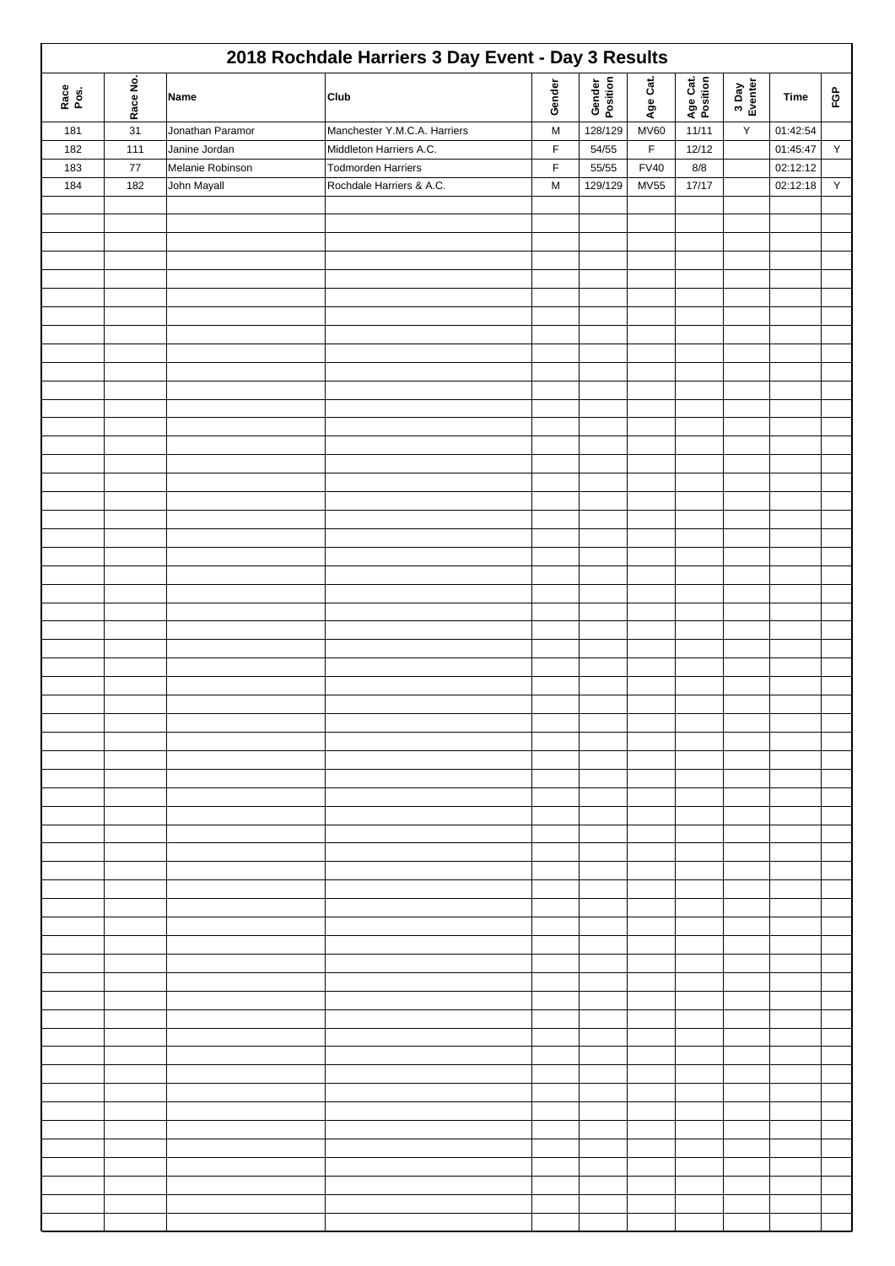| 2018 Rochdale Harriers 3 Day Event - Day 3 Results |          |                  |                              |           |                    |             |                      |                  |          |              |  |
|----------------------------------------------------|----------|------------------|------------------------------|-----------|--------------------|-------------|----------------------|------------------|----------|--------------|--|
| Race<br>Pos.                                       | Race No. | Name             | Club                         | Gender    | Gender<br>Position | Age Cat.    | Age Cat.<br>Position | 3 Day<br>Eventer | Time     | FGP          |  |
| 181                                                | 31       | Jonathan Paramor | Manchester Y.M.C.A. Harriers | ${\sf M}$ | 128/129            | <b>MV60</b> | 11/11                | Υ                | 01:42:54 |              |  |
| 182                                                | 111      | Janine Jordan    | Middleton Harriers A.C.      | F         | 54/55              | $\mathsf F$ | 12/12                |                  | 01:45:47 | $\mathsf Y$  |  |
| 183                                                | $77\,$   | Melanie Robinson | <b>Todmorden Harriers</b>    | F         | 55/55              | <b>FV40</b> | $8/8$                |                  | 02:12:12 |              |  |
| 184                                                | 182      | John Mayall      | Rochdale Harriers & A.C.     | M         | 129/129            | <b>MV55</b> | 17/17                |                  | 02:12:18 | $\mathsf{Y}$ |  |
|                                                    |          |                  |                              |           |                    |             |                      |                  |          |              |  |
|                                                    |          |                  |                              |           |                    |             |                      |                  |          |              |  |
|                                                    |          |                  |                              |           |                    |             |                      |                  |          |              |  |
|                                                    |          |                  |                              |           |                    |             |                      |                  |          |              |  |
|                                                    |          |                  |                              |           |                    |             |                      |                  |          |              |  |
|                                                    |          |                  |                              |           |                    |             |                      |                  |          |              |  |
|                                                    |          |                  |                              |           |                    |             |                      |                  |          |              |  |
|                                                    |          |                  |                              |           |                    |             |                      |                  |          |              |  |
|                                                    |          |                  |                              |           |                    |             |                      |                  |          |              |  |
|                                                    |          |                  |                              |           |                    |             |                      |                  |          |              |  |
|                                                    |          |                  |                              |           |                    |             |                      |                  |          |              |  |
|                                                    |          |                  |                              |           |                    |             |                      |                  |          |              |  |
|                                                    |          |                  |                              |           |                    |             |                      |                  |          |              |  |
|                                                    |          |                  |                              |           |                    |             |                      |                  |          |              |  |
|                                                    |          |                  |                              |           |                    |             |                      |                  |          |              |  |
|                                                    |          |                  |                              |           |                    |             |                      |                  |          |              |  |
|                                                    |          |                  |                              |           |                    |             |                      |                  |          |              |  |
|                                                    |          |                  |                              |           |                    |             |                      |                  |          |              |  |
|                                                    |          |                  |                              |           |                    |             |                      |                  |          |              |  |
|                                                    |          |                  |                              |           |                    |             |                      |                  |          |              |  |
|                                                    |          |                  |                              |           |                    |             |                      |                  |          |              |  |
|                                                    |          |                  |                              |           |                    |             |                      |                  |          |              |  |
|                                                    |          |                  |                              |           |                    |             |                      |                  |          |              |  |
|                                                    |          |                  |                              |           |                    |             |                      |                  |          |              |  |
|                                                    |          |                  |                              |           |                    |             |                      |                  |          |              |  |
|                                                    |          |                  |                              |           |                    |             |                      |                  |          |              |  |
|                                                    |          |                  |                              |           |                    |             |                      |                  |          |              |  |
|                                                    |          |                  |                              |           |                    |             |                      |                  |          |              |  |
|                                                    |          |                  |                              |           |                    |             |                      |                  |          |              |  |
|                                                    |          |                  |                              |           |                    |             |                      |                  |          |              |  |
|                                                    |          |                  |                              |           |                    |             |                      |                  |          |              |  |
|                                                    |          |                  |                              |           |                    |             |                      |                  |          |              |  |
|                                                    |          |                  |                              |           |                    |             |                      |                  |          |              |  |
|                                                    |          |                  |                              |           |                    |             |                      |                  |          |              |  |
|                                                    |          |                  |                              |           |                    |             |                      |                  |          |              |  |
|                                                    |          |                  |                              |           |                    |             |                      |                  |          |              |  |
|                                                    |          |                  |                              |           |                    |             |                      |                  |          |              |  |
|                                                    |          |                  |                              |           |                    |             |                      |                  |          |              |  |
|                                                    |          |                  |                              |           |                    |             |                      |                  |          |              |  |
|                                                    |          |                  |                              |           |                    |             |                      |                  |          |              |  |
|                                                    |          |                  |                              |           |                    |             |                      |                  |          |              |  |
|                                                    |          |                  |                              |           |                    |             |                      |                  |          |              |  |
|                                                    |          |                  |                              |           |                    |             |                      |                  |          |              |  |
|                                                    |          |                  |                              |           |                    |             |                      |                  |          |              |  |
|                                                    |          |                  |                              |           |                    |             |                      |                  |          |              |  |
|                                                    |          |                  |                              |           |                    |             |                      |                  |          |              |  |
|                                                    |          |                  |                              |           |                    |             |                      |                  |          |              |  |
|                                                    |          |                  |                              |           |                    |             |                      |                  |          |              |  |
|                                                    |          |                  |                              |           |                    |             |                      |                  |          |              |  |
|                                                    |          |                  |                              |           |                    |             |                      |                  |          |              |  |
|                                                    |          |                  |                              |           |                    |             |                      |                  |          |              |  |
|                                                    |          |                  |                              |           |                    |             |                      |                  |          |              |  |
|                                                    |          |                  |                              |           |                    |             |                      |                  |          |              |  |
|                                                    |          |                  |                              |           |                    |             |                      |                  |          |              |  |
|                                                    |          |                  |                              |           |                    |             |                      |                  |          |              |  |
|                                                    |          |                  |                              |           |                    |             |                      |                  |          |              |  |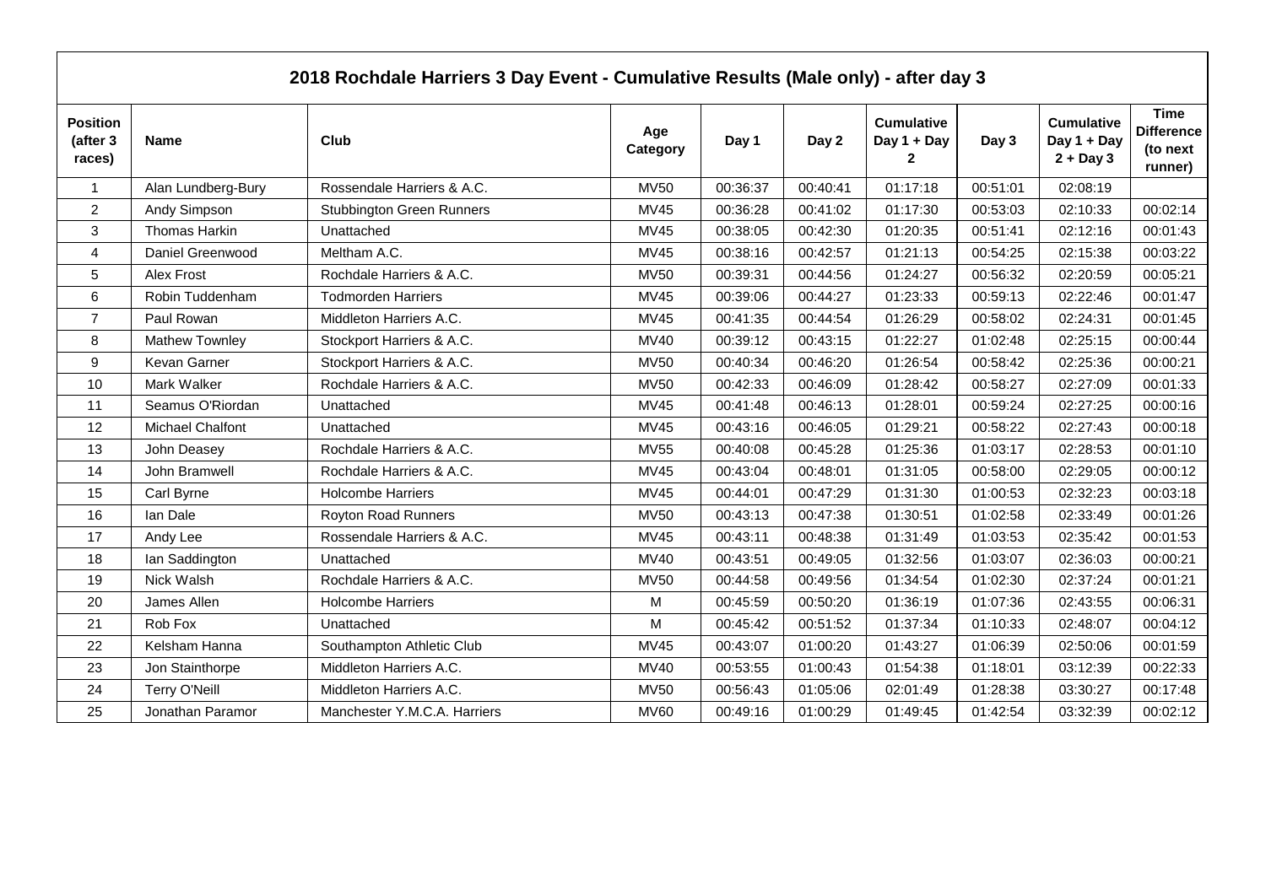|                                       |                      | 2018 Rochdale Harriers 3 Day Event - Cumulative Results (Male only) - after day 3 |                 |          |          |                                       |          |                                                 |                                                         |
|---------------------------------------|----------------------|-----------------------------------------------------------------------------------|-----------------|----------|----------|---------------------------------------|----------|-------------------------------------------------|---------------------------------------------------------|
| <b>Position</b><br>(after 3<br>races) | <b>Name</b>          | Club                                                                              | Age<br>Category | Day 1    | Day 2    | <b>Cumulative</b><br>Day 1 + Day<br>2 | Day 3    | <b>Cumulative</b><br>Day 1 + Day<br>$2 + Day 3$ | <b>Time</b><br><b>Difference</b><br>(to next<br>runner) |
| $\mathbf{1}$                          | Alan Lundberg-Bury   | Rossendale Harriers & A.C.                                                        | <b>MV50</b>     | 00:36:37 | 00:40:41 | 01:17:18                              | 00:51:01 | 02:08:19                                        |                                                         |
| $\overline{2}$                        | Andy Simpson         | <b>Stubbington Green Runners</b>                                                  | <b>MV45</b>     | 00:36:28 | 00:41:02 | 01:17:30                              | 00:53:03 | 02:10:33                                        | 00:02:14                                                |
| 3                                     | Thomas Harkin        | Unattached                                                                        | <b>MV45</b>     | 00:38:05 | 00:42:30 | 01:20:35                              | 00:51:41 | 02:12:16                                        | 00:01:43                                                |
| 4                                     | Daniel Greenwood     | Meltham A.C.                                                                      | <b>MV45</b>     | 00:38:16 | 00:42:57 | 01:21:13                              | 00:54:25 | 02:15:38                                        | 00:03:22                                                |
| 5                                     | Alex Frost           | Rochdale Harriers & A.C.                                                          | <b>MV50</b>     | 00:39:31 | 00:44:56 | 01:24:27                              | 00:56:32 | 02:20:59                                        | 00:05:21                                                |
| 6                                     | Robin Tuddenham      | <b>Todmorden Harriers</b>                                                         | <b>MV45</b>     | 00:39:06 | 00:44:27 | 01:23:33                              | 00:59:13 | 02:22:46                                        | 00:01:47                                                |
| $\overline{7}$                        | Paul Rowan           | Middleton Harriers A.C.                                                           | MV45            | 00:41:35 | 00:44:54 | 01:26:29                              | 00:58:02 | 02:24:31                                        | 00:01:45                                                |
| 8                                     | Mathew Townley       | Stockport Harriers & A.C.                                                         | <b>MV40</b>     | 00:39:12 | 00:43:15 | 01:22:27                              | 01:02:48 | 02:25:15                                        | 00:00:44                                                |
| 9                                     | Kevan Garner         | Stockport Harriers & A.C.                                                         | <b>MV50</b>     | 00:40:34 | 00:46:20 | 01:26:54                              | 00:58:42 | 02:25:36                                        | 00:00:21                                                |
| 10                                    | Mark Walker          | Rochdale Harriers & A.C.                                                          | <b>MV50</b>     | 00:42:33 | 00:46:09 | 01:28:42                              | 00:58:27 | 02:27:09                                        | 00:01:33                                                |
| 11                                    | Seamus O'Riordan     | Unattached                                                                        | <b>MV45</b>     | 00:41:48 | 00:46:13 | 01:28:01                              | 00:59:24 | 02:27:25                                        | 00:00:16                                                |
| 12                                    | Michael Chalfont     | Unattached                                                                        | MV45            | 00:43:16 | 00:46:05 | 01:29:21                              | 00:58:22 | 02:27:43                                        | 00:00:18                                                |
| 13                                    | John Deasey          | Rochdale Harriers & A.C.                                                          | <b>MV55</b>     | 00:40:08 | 00:45:28 | 01:25:36                              | 01:03:17 | 02:28:53                                        | 00:01:10                                                |
| 14                                    | John Bramwell        | Rochdale Harriers & A.C.                                                          | <b>MV45</b>     | 00:43:04 | 00:48:01 | 01:31:05                              | 00:58:00 | 02:29:05                                        | 00:00:12                                                |
| 15                                    | Carl Byrne           | <b>Holcombe Harriers</b>                                                          | MV45            | 00:44:01 | 00:47:29 | 01:31:30                              | 01:00:53 | 02:32:23                                        | 00:03:18                                                |
| 16                                    | Ian Dale             | <b>Royton Road Runners</b>                                                        | <b>MV50</b>     | 00:43:13 | 00:47:38 | 01:30:51                              | 01:02:58 | 02:33:49                                        | 00:01:26                                                |
| 17                                    | Andy Lee             | Rossendale Harriers & A.C.                                                        | <b>MV45</b>     | 00:43:11 | 00:48:38 | 01:31:49                              | 01:03:53 | 02:35:42                                        | 00:01:53                                                |
| 18                                    | lan Saddington       | Unattached                                                                        | <b>MV40</b>     | 00:43:51 | 00:49:05 | 01:32:56                              | 01:03:07 | 02:36:03                                        | 00:00:21                                                |
| 19                                    | Nick Walsh           | Rochdale Harriers & A.C.                                                          | <b>MV50</b>     | 00:44:58 | 00:49:56 | 01:34:54                              | 01:02:30 | 02:37:24                                        | 00:01:21                                                |
| 20                                    | James Allen          | <b>Holcombe Harriers</b>                                                          | M               | 00:45:59 | 00:50:20 | 01:36:19                              | 01:07:36 | 02:43:55                                        | 00:06:31                                                |
| 21                                    | Rob Fox              | Unattached                                                                        | М               | 00:45:42 | 00:51:52 | 01:37:34                              | 01:10:33 | 02:48:07                                        | 00:04:12                                                |
| 22                                    | Kelsham Hanna        | Southampton Athletic Club                                                         | <b>MV45</b>     | 00:43:07 | 01:00:20 | 01:43:27                              | 01:06:39 | 02:50:06                                        | 00:01:59                                                |
| 23                                    | Jon Stainthorpe      | Middleton Harriers A.C.                                                           | MV40            | 00:53:55 | 01:00:43 | 01:54:38                              | 01:18:01 | 03:12:39                                        | 00:22:33                                                |
| 24                                    | <b>Terry O'Neill</b> | Middleton Harriers A.C.                                                           | <b>MV50</b>     | 00:56:43 | 01:05:06 | 02:01:49                              | 01:28:38 | 03:30:27                                        | 00:17:48                                                |
| 25                                    | Jonathan Paramor     | Manchester Y.M.C.A. Harriers                                                      | <b>MV60</b>     | 00:49:16 | 01:00:29 | 01:49:45                              | 01:42:54 | 03:32:39                                        | 00:02:12                                                |